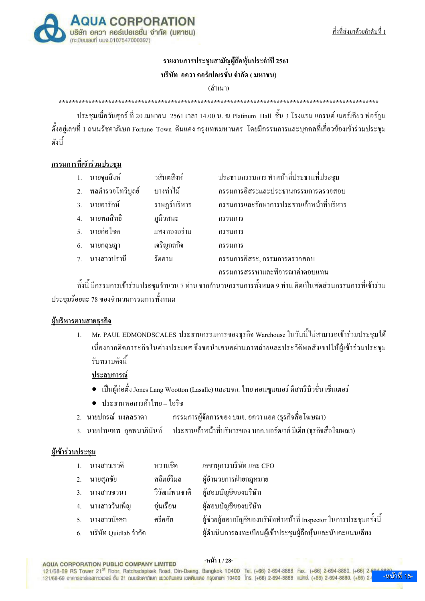

## รายงานการประชุมสามัญผู้ถือหุ้นประจำปี 2561 บริษัท อควา คอร์เปอเรชั่น จำกัด ( มหาชน)

#### (สำเบา)

ประชุมเมื่อวันศุกร์ ที่ 20 เมษายน 2561 เวลา 14.00 น. ณ Platinum Hall ชั้น 3 โรงแรม แกรนด์ เมอร์เคียว ฟอร์จูน ี ตั้งอยู่เลขที่ 1 ถนนรัชคาภิเษก Fortune Town คินแคง กรงเทพมหานคร โดยมีกรรมการและบคคลที่เกี่ยวข้องเข้าร่วมประชม ดังบี้

#### ิกรรมการที่เข้าร่วมประชม

| 1. นายจุลสิงห์      | วสันตสิงห์   | ประธานกรรมการ ทำหน้าที่ประธานที่ประชุม                 |
|---------------------|--------------|--------------------------------------------------------|
| 2. พลตำรวจโทวิบูลย์ | บางท่าไม้    | กรรมการอิสระและประธานกรรมการตรวจสอบ                    |
| 3. นายอารักษ์       | ราษฎร์บริหาร | <sub>ิ</sub> กรรมการและรักษาการประธานเจ้าหน้าที่บริหาร |
| 4. นายพลสิทธิ       | ภูมิวสนะ     | กรรมการ                                                |
| 5. นายก่อโชค        | แสงทองอร่าม  | กรรมการ                                                |
| 6. นายกฤษฎา         | เจริญกลกิจ   | กรรมการ                                                |
| 7. นางสาวปรานี      | รัตกาม       | กรรมการอิสระ, กรรมการตรวจสอบ                           |
|                     |              | กรรมการสรรหาและพิจารณาค่าตอบแทน                        |

้ทั้งนี้ มีกรรมการเข้าร่วมประชุมจำนวน 7 ท่าน จากจำนวนกรรมการทั้งหมด 9 ท่าน คิดเป็นสัดส่วนกรรมการที่เข้าร่วม ประชุมร้อยละ 78 ของจำนวนกรรมการทั้งหมด

#### ผู้บริหารตามสายธุรกิจ

Mr. PAUL EDMONDSCALES ประธานกรรมการของธรกิจ Warehouse ในวันนี้ไม่สามารถเข้าร่วมประชมได้  $1.$ ้ เนื่องจากดิดภาระกิจในต่างประเทศ จึงขอนำเสนอผ่านภาพถ่ายและประวัติพอสังเขปให้ผู้เข้าร่วมประชุม รับทราบดังบี้

#### ประสบการณ์

- เป็นผู้ก่อตั้ง Jones Lang Wootton (Lasalle) และบจก. ไทย คอนซูมเมอร์ ดิสทริบิวชั่น เซ็นเตอร์
- ประธาบหอการค้าไทย ไอริช
- ิ กรรมการผู้จัดการของ บมจ. อควา แอด (ธุรกิจสื่อ โฆษณา) 2. นายปกรณ์ มงคลธาดา
- ประธานเจ้าหน้าที่บริหารของ บจก.บอร์ดเวย์ มีเดีย (ธุรกิจสื่อโฆษณา) 3. นายปานเทพ กุลพนาภินันท์

#### <u>ผู้เข้าร่วมประชุม</u>

| 1. นางสาวเรวดี          | หวานชิด       | เลขานุการบริษัท และ CFO                                             |
|-------------------------|---------------|---------------------------------------------------------------------|
| 2. นายสุภชัย            | สถิตย์วิมล    | ผู้อำนวยการฝ่ายกฎหมาย                                               |
| 3. นางสาวชวนา           | วิวัฒน์พนชาติ | ผู้สอบบัญชีของบริษัท                                                |
| 4. นางสาววันเพ็ญ        | อุ่นเรือน     | ผู้สอบบัญชีของบริษัท                                                |
| 5. นางสาวนัชชา          | ศรีอภัย       | ้ผู้ช่วยผู้สอบบัญชีของบริษัททำหน้าที่ Inspector ในการประชุมครั้งนี้ |
| 6. บริษัท Quidlab จำกัด |               | ผู้ดำเนินการลงทะเบียนผู้เข้าประชุมผู้ถือหุ้นและนับคะแนนเสียง        |
|                         |               |                                                                     |

-หน้า 1 / 28-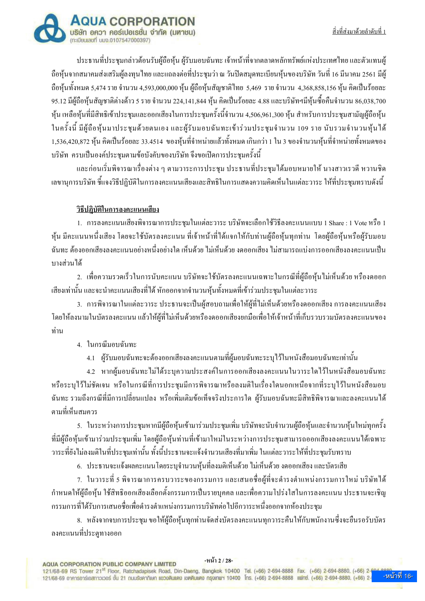

ประธานที่ประชมกล่าวต้อนรับผู้ถือหุ้น ผู้รับมอบฉันทะ เจ้าหน้าที่จากตลาดหลักทรัพย์แห่งประเทศไทย และตัวแทนผู้ ี ถือหุ้นจากสมาคมส่งเสริมผู้ลงทุนไทย และแถลงต่อที่ประชุมว่า ณ วันปิดสมุดทะเบียนหุ้นของบริษัท วันที่ 16 มีนาคม 2561 มีผู้ ถือหุ้นทั้งหมด 5,474 ราย จำนวน 4,593,000,000 หุ้น ผู้ถือหุ้นสัญชาติไทย 5,469 ราย จำนวน 4,368,858,156 หุ้น คิดเป็นร้อยละ 95.12 มีผู้ถือหุ้นสัญชาติต่างด้าว 5 ราย จำนวน 224,141,844 หุ้น คิดเป็นร้อยละ 4.88 และบริษัทฯมีหุ้นซื้อคืนจำนวน 86,038,700 ้หุ้น เหลือหุ้นที่มีสิทธิเข้าประชุมและออกเสียงในการประชุมครั้งนี้จำนวน 4,506,961,300 หุ้น สำหรับการประชุมสามัญผู้ถือหุ้น ในครั้งนี้ มีผู้ถือหุ้นมาประชุมด้วยตนเอง และผู้รับมอบฉันทะเข้าร่วมประชุมจำนวน 109 ราย นับรวมจำนวนหุ้นได้ 1,536,420,872 หุ้น คิดเป็นร้อยละ 33.4514 ของหุ้นที่จำหน่ายแล้วทั้งหมด เกินกว่า 1 ใน 3 ของจำนวนหุ้นที่จำหน่ายทั้งหมดของ ้บริษัท ครบเป็นองค์ประชุมตามข้อบังคับของบริษัท จึงขอเปิดการประชมครั้งนี้

และก่อนเริ่มพิจารณาเรื่องต่าง ๆ ตามวาระการประชม ประธานที่ประชมได้มอบหมายให้ นางสาวเรวดี หวานชิด ้เลขานุการบริษัท ซี้แจงวิธีปฏิบัติในการลงคะแนนเสียงและสิทธิในการแสดงความคิดเห็นในแต่ละวาระ ให้ที่ประชุมทราบดังนี้

## วิธีปฏิบัติในการลงคะแนนเสียง

1. การลงคะแนนเสียงพิจารณาการประชมในแต่ละวาระ บริษัทจะเลือกใช้วิธีลงคะแนนแบบ 1 Share : 1 Vote หรือ 1 หุ้น มีคะแนนหนึ่งเสียง โดยจะใช้บัตรลงคะแนน ที่เจ้าหน้าที่ได้แจกให้กับท่านผู้ถือหุ้นทุกท่าน โดยผู้ถือหุ้นหรือผู้รับมอบ ฉันทะ ต้องออกเสียงลงคะแนนอย่างหนึ่งอย่างใด เห็นด้วย ไม่เห็นด้วย งดออกเสียง ไม่สามารถแบ่งการออกเสียงลงคะแนนเป็น บางส่าบได้

2. เพื่อความรวดเร็วในการนับคะแนน บริษัทจะใช้บัตรลงคะแนนเฉพาะในกรณีที่ผู้ถือหุ้นไม่เห็นด้วย หรืองดออก ้เสียงเท่านั้น และจะนำคะแนนเสียงที่ได้ หักออกจากจำนวนหุ้นทั้งหมดที่เข้าร่วมประชุมในแต่ละวาระ

3. การพิจารณาในแต่ละวาระ ประธานจะเป็นผู้สอบถามเพื่อให้ผู้ที่ไม่เห็นด้วยหรืองดออกเสียง การลงคะแนนเสียง โดยให้ลงนามในบัตรลงคะแนน แล้วให้ผู้ที่ไม่เห็นด้วยหรืองดออกเสียงยกมือเพื่อให้เจ้าหน้าที่เก็บรวบรวมบัตรลงคะแนนของ ท่าน

4. ในกรณีมอบฉันทะ

4.1 ผู้รับมอบฉันทะจะต้องออกเสียงลงคะแนนตามที่ผู้มอบฉันทะระบุไว้ในหนังสือมอบฉันทะเท่านั้น

4.2 หากผ้มอบฉันทะไม่ได้ระบความประสงค์ในการออกเสียงลงคะแนนในวาระใดไว้ในหนังสือมอบฉันทะ หรือระบุไว้ไม่ชัดเจน หรือในกรณีที่การประชุมมีการพิจารณาหรือลงมติในเรื่องใดนอกเหนือจากที่ระบุไว้ในหนังสือมอบ ้ฉันทะ รวมถึงกรณีที่มีการเปลี่ยนแปลง หรือเพิ่มเติมข้อเท็จจริงประการใด ผู้รับมอบฉันทะมีสิทธิพิจารณาและลงคะแนนได้ ิตามที่เห็นสมควร

5. ในระหว่างการประชุมหากมีผู้ถือหุ้นเข้ามาร่วมประชุมเพิ่ม บริษัทจะนับจำนวนผู้ถือหุ้นและจำนวนหุ้นใหม่ทุกครั้ง ที่มีผู้ถือหุ้นเข้ามาร่วมประชุมเพิ่ม โดยผู้ถือหุ้นท่านที่เข้ามาใหม่ในระหว่างการประชุมสามารถออกเสียงลงคะแนนใด้เฉพาะ ้วาระที่ยังไม่ลงมติในที่ประชุมเท่านั้น ทั้งนี้ประธานจะแจ้งจำนวนเสียงที่มาเพิ่ม ในแต่ละวาระให้ที่ประชุมรับทราบ

6. ประธานจะแจ้งผลคะแนนโดยระบจำนวนห้นที่ลงมติเห็นด้วย ไม่เห็นด้วย งดออกเสียง และบัตรเสีย

7. ในวาระที่ 5 พิจารณาการครบวาระของกรรมการ และเสนอชื่อผู้ที่จะคำรงตำแหน่งกรรมการใหม่ บริษัทได้ ้ กำหนดให้ผู้ถือห้น ใช้สิทธิออกเสียงเลือกตั้งกรรมการเป็นรายบคคล และเพื่อความโปร่งใสในการลงคะแนน ประธานจะเชิญ ึกรรมการที่ได้รับการเสนอชื่อเพื่อคำรงตำแหน่งกรรมการบริษัทต่อไปอีกวาระหนึ่งออกจากห้องประชุม

่ 8. หลังจากจบการประชม ขอให้ผู้ถือหุ้นทกท่านจัดส่งบัตรลงคะแนนทกวาระคืนให้กับพนักงานซึ่งจะขืนรอรับบัตร ลงคะแนนที่ประตูทางออก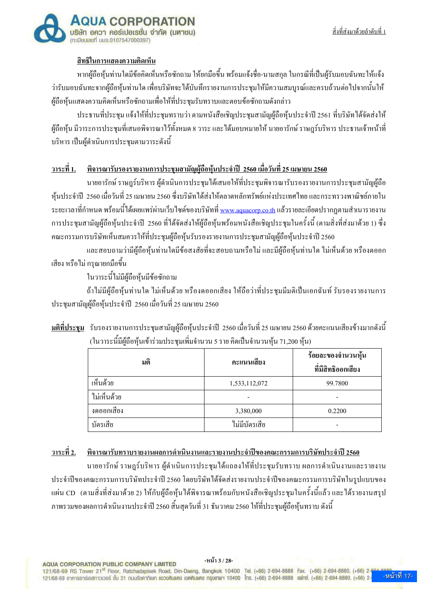

## สิทธิในการแสดงความคิดเห็น

หากผู้ถือหุ้นท่านใดมีข้อคิดเห็นหรือซักถาม ให้ยกมือขึ้น พร้อมแจ้งชื่อ-นามสกุล ในกรณีที่เป็นผู้รับมอบฉันทะให้แจ้ง ว่ารับมอบฉันทะจากผู้ถือหุ้นท่านใด เพื่อบริษัทจะใด้บันทึกรายงานการประชุมให้มีความสมบูรณ์และครบถ้วนต่อไปจากนั้นให้ ผู้ถือห้นแสดงความคิดเห็นหรือซักถามเพื่อให้ที่ประชมรับทราบและตอบข้อซักถามดังกล่าว

ประธานที่ประชุม แจ้งให้ที่ประชุมทราบว่า ตามหนังสือเชิญประชุมสามัญผู้ถือหุ้นประจำปี 2561 ที่บริษัทได้จัดส่งให้ ้ผู้ถือหุ้น มีวาระการประชุมที่เสนอพิจารณาไว้ทั้งหมด 8 วาระ และได้มอบหมายให้ นายอารักษ์ ราษฎร์บริหาร ประธานเจ้าหน้าที่ ้บริหาร เป็นผู้ดำเนินการประชมตามวาระดังนี้

#### ี พิจารณารับรองรายงานการประชมสามัณผู้ถือห้นประจำปี 2560 เมื่อวันที่ 25 เมษายน 2560 วาระที่ 1.

นายอารักษ์ ราษฎร์บริหาร ผู้คำเนินการประชุมได้เสนอให้ที่ประชุมพิจารณารับรองรายงานการประชุมสามัญผู้ถือ หุ้นประจำปี 2560 เมื่อวันที่ 25 เมษายน 2560 ซึ่งบริษัทได้ส่งให้ตลาดหลักทรัพย์แห่งประเทศไทย และกระทรวงพาณิชย์ภายใน ้ ระยะเวลาที่กำหนด พร้อมนี้ได้เผยแพร่ผ่านเว็บไซด์ของบริษัทที่ www.aguacorp.co.th แล้วรายละเอียดปรากฎตามสำเนารายงาน ี การประชมสามัณผ้ถือห้นประจำปี 2560 ที่ได้จัดส่งให้ผ้ถือห้นพร้อมหนังสือเชิญประชมในครั้งนี้ (ตามสิ่งที่ส่งมาด้วย 1) ซึ่ง ึ คณะกรรมการบริษัทเห็นสมควรให้ที่ประชุมผู้ถือหุ้นรับรองรายงานการประชุมสามัญผู้ถือหุ้นประจำปี 2560

และสอบถามว่ามีผู้ถือห้นท่านใคมีข้อสงสัยที่จะสอบถามหรือไม่ และมีผู้ถือห้นท่านใค ไม่เห็นด้วย หรืองคออก เสียง หรือไม่ กรณายกมือขึ้น

ในวาระนี้ไม่มีผู้ถือหุ้นมีข้อซักถาม

ถ้าไม่มีผู้ถือหุ้นท่านใด ไม่เห็นด้วย หรืองคออกเสียง ให้ถือว่าที่ประชุมมีมติเป็นเอกฉันท์ รับรองรายงานการ ประชุมสามัญผู้ถือหุ้นประจำปี 2560 เมื่อวันที่ 25 เมษายน 2560

ุ่มติที่ประชุม รับรองรายงานการประชุมสามัญผู้ถือหุ้นประจำปี 2560 เมื่อวันที่ 25 เมษายน 2560 ด้วยคะแนนเสียงข้างมากดังนี้ (ในวาระนี้มีผู้ถือหุ้นเข้าร่วมประชุมเพิ่มจำนวน 5 ราย คิดเป็นจำนวนหุ้น 71,200 หุ้น)

| มติ         | คะแนนเสียง    | ร้อยละของจำนวนหุ้น<br>ที่มีสิทธิออกเสียง |
|-------------|---------------|------------------------------------------|
| เห็นด้วย    | 1,533,112,072 | 99.7800                                  |
| ไม่เห็นด้วย |               |                                          |
| งดออกเสียง  | 3,380,000     | 0.2200                                   |
| บัตรเสีย    | ไม่มีบัตรเสีย |                                          |

#### วาระที่ 2. พิจารณารับทราบรายงานผลการดำเนินงานและรายงานประจำปีของคณะกรรมการบริษัทประจำปี 2560

้นายอารักษ์ ราษฎร์บริหาร ผู้ดำเนินการประชมได้แถลงให้ที่ประชมรับทราบ ผลการดำเนินงานและรายงาน ประจำปีของคณะกรรมการบริษัทประจำปี 2560 โดยบริษัทได้จัดส่งรายงานประจำปีของคณะกรรมการบริษัทในรูปแบบของ แผ่น CD (ตามสิ่งที่ส่งมาด้วย 2) ให้กับผู้ถือห้นได้พิจารณาพร้อมกับหนังสือเชิญประชมในครั้งนี้แล้ว และได้รายงานสรป ิภาพรวมของผลการคำเนินงานประจำปี 2560 สิ้นสควันที่ 31 ธันวาคม 2560 ให้ที่ประชมผู้ถือห้นทราบ คังนี้

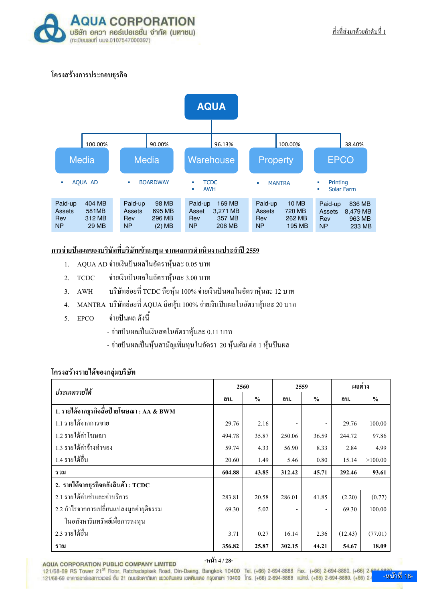

## โครงสร้างการประกอบธุรกิจ



## <u>ิการจ่ายปั้นผลของบริษัทที่บริษัทเข้าลงทุน จากผลการดำเนินงานประจำปี 2559</u>

- AOUA AD จ่ายเงินปันผลในอัตราหันละ 0.05 บาท  $1.$
- จ่ายเงินปันผลในอัตราหุ้นละ 3.00 บาท 2. **TCDC**
- ิบริษัทย่อยที่ TCDC ถือหุ้น 100% จ่ายเงินปันผลในอัตราหุ้นละ 12 บาท  $3.$  AWH
- MANTRA บริษัทย่อยที่ AQUA ถือหุ้น 100% จ่ายเงินปันผลในอัตราหุ้นละ 20 บาท  $\overline{4}$ .
- ้จ่ายปับผล ดังนี้ EPCO  $5.$ 
	- จ่ายปันผลเป็นเงินสดในอัตราหุ้นละ 0.11 บาท
	- จ่ายปันผลเป็นหุ้นสามัญเพิ่มทุนในอัตรา 20 หุ้นเดิม ต่อ 1 หุ้นปันผล

#### โครงสร้างรายได้ของกลุ่มบริษัท

| ประเภทรายได้                               |        | 2560          | 2559   |                          | ผลต่าง  |               |
|--------------------------------------------|--------|---------------|--------|--------------------------|---------|---------------|
|                                            | ิลบ.   | $\frac{0}{0}$ | ดบ.    | $\frac{0}{0}$            | ิลบ.    | $\frac{0}{0}$ |
| 1. รายใด้จากธุรกิจสื่อป้ายโฆษณา : AA & BWM |        |               |        |                          |         |               |
| 1.1 รายได้จากการขาย                        | 29.76  | 2.16          |        |                          | 29.76   | 100.00        |
| 1.2 รายได้ค่าโฆษณา                         | 494.78 | 35.87         | 250.06 | 36.59                    | 244.72  | 97.86         |
| 1.3 รายได้ค่าจ้างทำของ                     | 59.74  | 4.33          | 56.90  | 8.33                     | 2.84    | 4.99          |
| 1.4 รายได้อื่น                             | 20.60  | 1.49          | 5.46   | 0.80                     | 15.14   | >100.00       |
| รวม                                        | 604.88 | 43.85         | 312.42 | 45.71                    | 292.46  | 93.61         |
| 2. รายได้จากธุรกิจคลังสินค้า : TCDC        |        |               |        |                          |         |               |
| 2.1 รายได้ค่าเช่าและค่าบริการ              | 283.81 | 20.58         | 286.01 | 41.85                    | (2.20)  | (0.77)        |
| 2.2 กำไรจากการเปลี่ยนแปลงมูลค่ายุติธรรม    | 69.30  | 5.02          |        | $\overline{\phantom{0}}$ | 69.30   | 100.00        |
| ในอสังหาริมทรัพย์เพื่อการลงทุน             |        |               |        |                          |         |               |
| 2.3 รายได้อื่น                             | 3.71   | 0.27          | 16.14  | 2.36                     | (12.43) | (77.01)       |
| รวม                                        | 356.82 | 25.87         | 302.15 | 44.21                    | 54.67   | 18.09         |

**AQUA CORPORATION PUBLIC COMPANY LIMITED** 

-หน้า 4 / 28-

121/68-69 RS Tower 21<sup>st</sup> Floor, Ratchadapisek Road, Din-Daeng, Bangkok 10400 Tel. (+66) 2-694-8888 Fax. (+66) 2-694-8880, (+66) 2-121/68-69 อาคารอาร์เอสทาวเวอร์ ชั้น 21 กนบรัชคากิเษก แขวงคินแคง เขตคินแคง กรุงเทพฯ 10400 โทร. (+66) 2-694-8888 แฟทซ์. (+66) 2-694-8880. (+66) 2-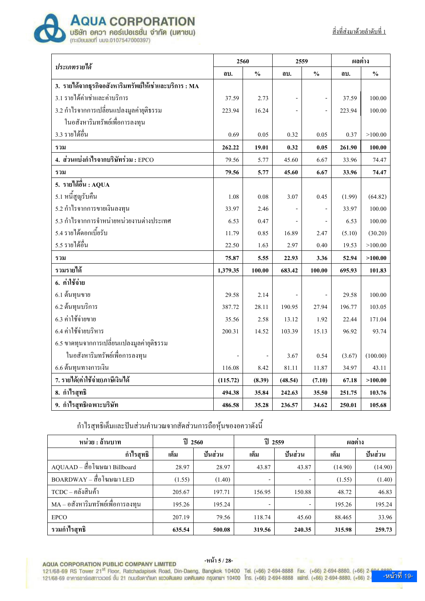

| ประเภทรายได้                                           |          | 2560          |         | 2559                         |        | ผลต่าง        |  |
|--------------------------------------------------------|----------|---------------|---------|------------------------------|--------|---------------|--|
|                                                        | ดบ.      | $\frac{0}{0}$ | ดบ.     | $\frac{0}{0}$                | ดบ.    | $\frac{0}{0}$ |  |
| 3. รายได้จากธุรกิจอสังหาริมทรัพย์ให้เช่าและบริการ : MA |          |               |         |                              |        |               |  |
| 3.1 รายได้ค่าเช่าและค่าบริการ                          | 37.59    | 2.73          |         |                              | 37.59  | 100.00        |  |
| 3.2 กำไรจากการเปลี่ยนแปลงมูลค่ายุติธรรม                | 223.94   | 16.24         |         |                              | 223.94 | 100.00        |  |
| ในอสังหาริมทรัพย์เพื่อการลงทุน                         |          |               |         |                              |        |               |  |
| 3.3 รายได้อื่น                                         | 0.69     | 0.05          | 0.32    | 0.05                         | 0.37   | >100.00       |  |
| รวม                                                    | 262,22   | 19.01         | 0.32    | 0.05                         | 261.90 | 100.00        |  |
| 4. ส่วนแบ่งกำไรจากบริษัทร่วม : EPCO                    | 79.56    | 5.77          | 45.60   | 6.67                         | 33.96  | 74.47         |  |
| รวม                                                    | 79.56    | 5.77          | 45.60   | 6.67                         | 33.96  | 74.47         |  |
| 5. รายได้อื่น : AQUA                                   |          |               |         |                              |        |               |  |
| 5.1 หนี้สูญรับคืน                                      | 1.08     | 0.08          | 3.07    | 0.45                         | (1.99) | (64.82)       |  |
| 5.2 กำไรจากการขายเงินลงทุน                             | 33.97    | 2.46          |         |                              | 33.97  | 100.00        |  |
| 5.3 กำไรจากการจำหน่ายหน่วยงานต่างประเทศ                | 6.53     | 0.47          |         |                              | 6.53   | 100.00        |  |
| 5.4 รายได้ดอกเบี้ยรับ                                  | 11.79    | 0.85          | 16.89   | 2.47                         | (5.10) | (30.20)       |  |
| 5.5 รายได้อื่น                                         | 22.50    | 1.63          | 2.97    | 0.40                         | 19.53  | >100.00       |  |
| รวม                                                    | 75.87    | 5.55          | 22.93   | 3.36                         | 52.94  | >100.00       |  |
| รวมรายได้                                              | 1,379.35 | 100.00        | 683.42  | 100.00                       | 695.93 | 101.83        |  |
| 6. ค่าใช้จ่าย                                          |          |               |         |                              |        |               |  |
| 6.1 ต้นทุนขาย                                          | 29.58    | 2.14          |         | $\qquad \qquad \blacksquare$ | 29.58  | 100.00        |  |
| 6.2 ต้นทุนบริการ                                       | 387.72   | 28.11         | 190.95  | 27.94                        | 196.77 | 103.05        |  |
| 6.3 ค่าใช้จ่ายขาย                                      | 35.56    | 2.58          | 13.12   | 1.92                         | 22.44  | 171.04        |  |
| 6.4 ค่าใช้จ่ายบริหาร                                   | 200.31   | 14.52         | 103.39  | 15.13                        | 96.92  | 93.74         |  |
| 6.5 ขาดทุนจากการเปลี่ยนแปลงมูลค่ายุติธรรม              |          |               |         |                              |        |               |  |
| ในอสังหาริมทรัพย์เพื่อการลงทุน                         |          |               | 3.67    | 0.54                         | (3.67) | (100.00)      |  |
| 6.6 ค้นทุนทางการเงิน                                   | 116.08   | 8.42          | 81.11   | 11.87                        | 34.97  | 43.11         |  |
| 7. รายได้(ค่าใช้จ่าย)ภาษีเงินได้                       | (115.72) | (8.39)        | (48.54) | (7.10)                       | 67.18  | >100.00       |  |
| 8. กำไรสุทธิ                                           | 494.38   | 35.84         | 242.63  | 35.50                        | 251.75 | 103.76        |  |
| 9. กำไรสุทธิเฉพาะบริษัท                                | 486.58   | 35.28         | 236.57  | 34.62                        | 250.01 | 105.68        |  |

กำไรสุทธิเต็มและปันส่วนคำนวณจากสัดส่วนการถือหุ้นของอควาดังนี้

| หน่วย : ล้านบาท                   | ปี 2560 |         | ปี 2559                  |         | ผลต่าง  |         |
|-----------------------------------|---------|---------|--------------------------|---------|---------|---------|
| กำไรสทธิ                          | เต็ม    | ปันส่วน | เต็ม                     | ปันส่วน | เต็ม    | ปันส่วน |
| AQUAAD – สื่อโฆษณา Billboard      | 28.97   | 28.97   | 43.87                    | 43.87   | (14.90) | (14.90) |
| $BOARDWAY - 4.1$ ชื่อโฆษณา LED    | (1.55)  | (1.40)  | $\overline{\phantom{a}}$ | -       | (1.55)  | (1.40)  |
| $TCDC - n$ ถังสินค้า              | 205.67  | 197.71  | 156.95                   | 150.88  | 48.72   | 46.83   |
| MA – อสังหาริมทรัพย์เพื่อการลงทุน | 195.26  | 195.24  |                          | -       | 195.26  | 195.24  |
| <b>EPCO</b>                       | 207.19  | 79.56   | 118.74                   | 45.60   | 88,465  | 33.96   |
| รวมกำไรสุทธิ                      | 635.54  | 500.08  | 319.56                   | 240.35  | 315.98  | 259.73  |

**AQUA CORPORATION PUBLIC COMPANY LIMITED** 

-หน้า 5 / 28-

121/68-69 RS Tower 21<sup>st</sup> Floor, Ratchadapisek Road, Din-Daeng, Bangkok 10400 Tel. (+66) 2-694-8888 Fax. (+66) 2-694-8880, (+66) 2-6 121/68-69 อาคารอาร์เอสทาวเวอร์ ชั้น 21 กนนรัชคากิเษก แขวงคินแคง เขตคินแคง กรุงเทพฯ 10400 โทร. (+66) 2-694-8888 แฟทซ์. (+66) 2-694-8880. (+66) 2-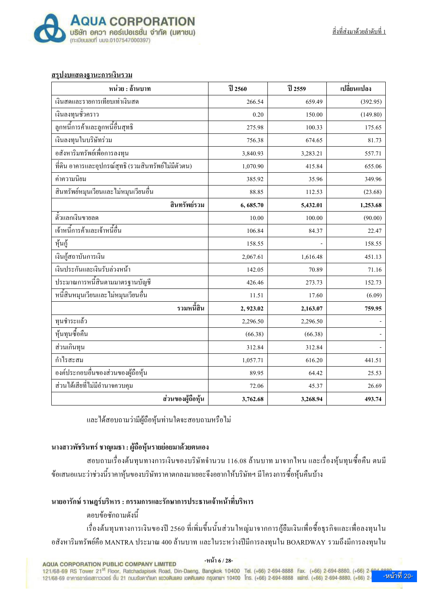

#### <u>สรุปงบแสดงฐานะการเงินรวม</u>

| หน่วย : ด้านบาท                                      | ปี 2560   | ปี 2559  | เปลี่ยนแปลง |
|------------------------------------------------------|-----------|----------|-------------|
| เงินสดและรายการเทียบเท่าเงินสด                       | 266.54    | 659.49   | (392.95)    |
| เงินลงทุนชั่วคราว                                    | 0.20      | 150.00   | (149.80)    |
| ลูกหนี้การค้าและลูกหนี้อื่นสุทธิ                     | 275.98    | 100.33   | 175.65      |
| เงินลงทุนในบริษัทร่วม                                | 756.38    | 674.65   | 81.73       |
| อสังหาริมทรัพย์เพื่อการลงทุน                         | 3,840.93  | 3,283.21 | 557.71      |
| ที่ดิน อาการและอุปกรณ์สุทธิ (รวมสินทรัพย์ใม่มีตัวตน) | 1,070.90  | 415.84   | 655.06      |
| ค่าความนิยม                                          | 385.92    | 35.96    | 349.96      |
| ้สินทรัพย์หมุนเวียนและไม่หมุนเวียนอื่น               | 88.85     | 112.53   | (23.68)     |
| สินทรัพย์รวม                                         | 6, 685.70 | 5,432.01 | 1,253.68    |
| ด้วแลกเงินขายลด                                      | 10.00     | 100.00   | (90.00)     |
| เจ้าหนี้การค้าและเจ้าหนี้อื่น                        | 106.84    | 84.37    | 22.47       |
| หุ้นกู้                                              | 158.55    |          | 158.55      |
| เงินกู้สถาบันการเงิน                                 | 2,067.61  | 1,616.48 | 451.13      |
| เงินประกันและเงินรับล่วงหน้า                         | 142.05    | 70.89    | 71.16       |
| ประมาณการหนี้สินตามมาตรฐานบัญชี                      | 426.46    | 273.73   | 152.73      |
| หนี้สินหมุนเวียนและไม่หมุนเวียนอื่น                  | 11.51     | 17.60    | (6.09)      |
| รวมหนี้สิน                                           | 2, 923.02 | 2,163.07 | 759.95      |
| ทุนชำระแล้ว                                          | 2,296.50  | 2,296.50 |             |
| หุ้นทุนซื้อคืน                                       | (66.38)   | (66.38)  |             |
| ส่วนเกินทุน                                          | 312.84    | 312.84   |             |
| กำไรสะสม                                             | 1,057.71  | 616.20   | 441.51      |
| องค์ประกอบอื่นของส่วนของผู้ถือหุ้น                   | 89.95     | 64.42    | 25.53       |
| ส่วนใด้เสียที่ไม่มีอำนาจควบคุม                       | 72.06     | 45.37    | 26.69       |
| ส่วนของผู้ถือหุ้น                                    | 3,762.68  | 3,268.94 | 493.74      |

และใค้สอบถามว่ามีผู้ถือหุ้นท่านใคจะสอบถามหรือไม่

#### นางสาวพัชรินทร์ ชาญเมธา : ผู้ถือหุ้นรายย่อยมาด้วยตนเอง

ี สอบถามเรื่องต้นทุนทางการเงินของบริษัทจำนวน 116.08 ล้านบาท มาจากไหน และเรื่องหุ้นทุนซื้อคืน ตนมี ี ข้อเสนอแนะว่าช่วงนี้ราคาห้นของบริษัทราคาตกลงมาเยอะจึงอยากให้บริษัทฯ มีโครงการซื้อห้นคืนบ้าง

#### ้นายอารักษ์ ราษฎร์บริหาร : กรรมการและรักษาการประธานเจ้าหน้าที่บริหาร

็ตอบข้อซักถามดังนี้

เรื่องต้นทุนทางการเงินของปี 2560 ที่เพิ่มขึ้นนั้นส่วนใหญ่มาจากการกู้ยืมเงินเพื่อซื้อธุรกิจและเพื่อลงทุนใน ือสังหาริมทรัพย์คือ MANTRA ประมาณ 400 ล้านบาท และในระหว่างปีมีการลงทุนใน BOARDWAY รวมถึงมีการลงทุนใน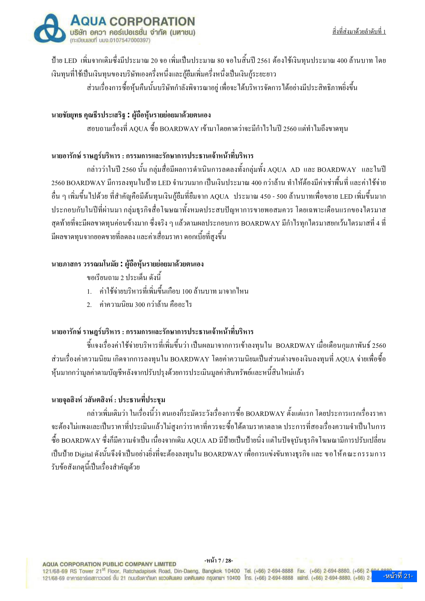

ู้ป้าย LED เพิ่มจากเดิมซึ่งมีประมาณ 20 จอ เพิ่มเป็นประมาณ 80 จอในสิ้นปี 2561 ต้องใช้เงินทนประมาณ 400 ล้านบาท โดย เงินทนที่ใช้เป็นเงินทนของบริษัทเองครึ่งหนึ่งและก้ขืมเพิ่มครึ่งหนึ่งเป็นเงินก้ระขะขาว

้ ส่วนเรื่องการซื้อหุ้นคืนนั้นบริษัทกำลังพิจารณาอยู่ เพื่อจะได้บริหารจัดการได้อย่างมีประสิทธิภาพยิ่งขึ้น

#### นายชัยยุทธ คุณธีรประเสริฐ : ผู้ถือหุ้นรายย่อยมาด้วยตนเอง

ิ สอบถามเรื่องที่ AOUA ซื้อ BOARDWAY เข้ามาโดยคาดว่าจะมีกำไรในปี 2560 แต่ทำไมถึงขาดทน

## ้นายอารักษ์ ราษฎร์บริหาร : กรรมการและรักษาการประธานเจ้าหน้าที่บริหาร

ึกล่าวว่าในปี 2560 นั้น กล่มสื่อมีผลการคำเนินการลดลงทั้งกล่มทั้ง AOUA AD และ BOARDWAY และในปี ่ 2560 BOARDWAY มีการลงทุนในป้าย LED จำนวนมาก เป็นเงินประมาณ 400 กว่าล้าน ทำให้ต้องมีค่าเช่าพื้นที่ และค่าใช้จ่าย ้อื่น ๆ เพิ่มขึ้นไปด้วย ที่สำคัญคือมีต้นทุนเงินกู้ยืมที่ยืมจาก AQUA ประมาณ 450 - 500 ล้านบาทเพื่อขยาย LED เพิ่มขึ้นมาก ี ประกอบกับในปีที่ผ่านมา กล่มธรกิจสื่อโฆษณาทั้งหมดประสบปัญหาการขายพอสมควร โดยเฉพาะเดือนแรกของใตรมาส ิสคท้ายที่จะมีผลขาดทนค่อนข้างมาก ซึ่งจริง ๆ แล้วตามผลประกอบการ BOARDWAY มีกำไรทกไตรมาสยกเว้นไตรมาสที่ 4 ที่ ้มีผลขาดทนจากยอดขายที่ลดลง และค่าเสื่อมราคา ดอกเบี้ยที่สงขึ้น

#### นายภาสกร วรรณมโนมัย : ผู้ถือห้นรายย่อยมาด้วยตนเอง

ขอเรียนถาม 2 ประเด็น ดังนี้

- 1. ค่าใช้จ่ายบริหารที่เพิ่มขึ้นเกือบ 100 ล้านบาท มาจากไหน
- 2 ค่ำความบิยม 300 กว่าล้าบ คืออะไร

## ้นายอารักษ์ ราษฎร์บริหาร : กรรมการและรักษาการประธานเจ้าหน้าที่บริหาร

์ชี้แจงเรื่องค่าใช้จ่ายบริหารที่เพิ่มขึ้นว่า เป็นผลมาจากการเข้าลงทนใน BOARDWAY เมื่อเคือนกมภาพันธ์ 2560 ี่ ส่วนเรื่องค่าความนิยม เกิดจากการลงทุนใน BOARDWAY โดยค่าความนิยมเป็นส่วนต่างของเงินลงทุนที่ AQUA จ่ายเพื่อซื้อ ห้นมากกว่ามลค่าตามบัญชีหลังจากปรับปรงด้วยการประเมินมลค่าสินทรัพย์และหนี้สินใหม่แล้ว

## นายจุลสิงห์ วสันตสิงห์ : ประธานที่ประชุม

ิกล่าวเพิ่มเติมว่า ในเรื่องนี้ว่า ตนเองก็ระมัดระวังเรื่องการซื้อ BOARDWAY ตั้งแต่แรก โดยประการแรกเรื่องราคา าะต้องไม่แพงและเป็นราคาที่ประเมินแล้วไม่สงกว่าราคาที่ควรจะซื้อได้ตามราคาตลาด ประการที่สองเรื่องความจำเป็นในการ ซื้อ BOARDWAY ซึ่งก็มีความจำเป็น เนื่องจากเดิม AQUA AD มีป้ายเป็นป้ายนิ่ง แต่ในปัจจุบันธุรกิจโฆษณามีการปรับเปลี่ยน เป็นป้าย Digital ดังนั้นจึงจำเป็นอย่างยิ่งที่จะต้องลงทุนใน BOARDWAY เพื่อการแข่งขันทางธุรกิจ และ ขอ ให้คณะกรรมการ รับข้อสังเกตนี้เป็นเรื่องสำคัญด้วย

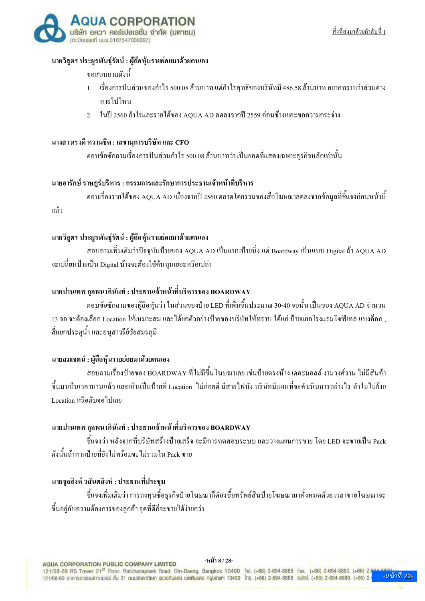

#### นายวิสูตร ประยูรพันธุ์รัตน์ : ผู้ถือหุ้นรายย่อยมาด้วยตนเอง

#### ขอสอบถามดังนี้

- 1. เรื่องการปันส่วนของกำไร 500.08 ถ้านบาท แต่กำไรสทธิของบริษัทมี 486.58 ถ้านบาท อยากทราบว่าส่วนต่าง หายไปไหบ
- 2. ในปี 2560 กำไรและรายได้ของ AQUA AD ลดลงจากปี 2559 ค่อนข้างเยอะขอความกระจ่าง

#### นางสาวเรวดี หวานชิด : เลขานุการบริษัท และ CFO

แล้ว

้ตอบข้อซักถามเรื่องการปันส่วนกำไร 500.08 ล้านบาทว่า เป็นยอคที่แสดงเฉพาะธรกิจหลักเท่านั้น

#### ้นายอารักษ์ ราษฎร์บริหาร : กรรมการและรักษาการประธานเจ้าหน้าที่บริหาร

ี ตอบเรื่องรายได้ของ AOUA AD เนื่องจากปี 2560 ตลาดโดยรวมของสื่อโฆษณาลดลงจากข้อมลที่ชี้แจงก่อนหน้านี้

#### นายวิสูตร ประยูรพันธุ์รัตน์ : ผู้ถือหุ้นรายย่อยมาด้วยตนเอง

ิสอบถามเพิ่มเติมว่าปัจจุบันป้ายของ AQUA AD เป็นแบบป้ายนิ่ง แต่ Boardway เป็นแบบ Digital ถ้ำ AQUA AD จะเปลี่ยนป้ายเป็น Digital บ้างจะต้องใช้ต้นทนเยอะหรือเปล่า

## นายปานเทพ กุลพนาภินันท์ : ประธานเจ้าหน้าที่บริหารของ BOARDWAY

ตอบข้อซักถามของผู้ถือห้นว่า ในส่วนของป้าย LED ที่เพิ่มขึ้นประมาณ 30-40 จอนั้น เป็นของ AOUA AD จำนวน 13 จอ จะต้องเลือก Location ให้เหมาะสม และใค้ยกตัวอย่างป้ายของบริษัทให้ทราบ ได้แก่ ป้ายแยกโรงแรมโซฟิเทล แบงค็อก สี่แยกประตน้ำ และอนสาวรีย์ชัยสมรภมิ

## ินายสมเจตน์ : ผู้ถือหุ้นรายย่อยมาด้วยตนเอง

ิ สอบถามเรื่องป้ายของ BOARDWAY ที่ไม่มีขึ้นโฆษณาเลย เช่นป้ายตรงห้าง เดอะมอลล์ งามวงศ์วาน ไม่มีสินค้า ์ ขึ้นมาเป็นเวลานานแล้ว และเห็นเป็นป้ายที่ Location "ไม่ค่อยดี มีสายไฟบัง บริษัทมีแผนที่จะดำเนินการอย่างไร ทำไมไม่ย้าย Location หรือดับจอไปเลย

## นายปานเทพ กลพนาภินันท์ : ประธานเจ้าหน้าที่บริหารของ BOARDWAY

์ ชี้แจงว่า หลังจากที่บริษัทสร้างป้ายเสร็จ จะมีการทดสอบระบบ และวางแผนการขาย โดย LED จะขายเป็น Pack ้ดังนั้นถ้าหากป้ายที่ยังไม่พร้อมจะไม่รวมใน Pack ขาย

## นายจลสิงห์ วสันตสิงห์ : ประธานที่ประชม

์ชี้แจงเพิ่มเติมว่า การลงทุนซื้อธุรกิจป้ายโฆษณาก็ต้องซื้อทรัพย์สินป้ายโฆษณามาทั้งหมดด้วย เวลาขายโฆษณาจะ ขึ้นอยู่กับความต้องการของลูกค้า จุดที่ดีก็จะขายใด้ง่ายกว่า

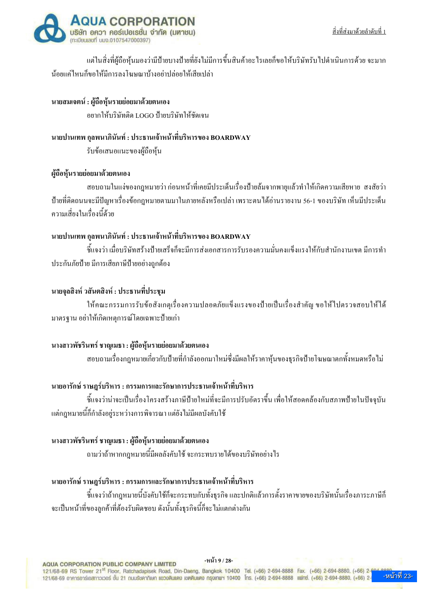

แต่ในสิ่งที่ผู้ถือห้นมองว่ามีป้าขบางป้ายที่ยังไม่มีการขึ้นสินค้าอะไรเลยก็ขอให้บริษัทรับไปดำเนินการด้วย จะมาก น้อยแค่ไหนก็ขอให้มีการลงโฆษณาบ้างอย่าปล่อยให้เสียเปล่า

# นายสมเจตน์ : ผู้ถือหุ้นรายย่อยมาด้วยตนเอง

้อยากให้บริษัทติด LOGO ป้ายบริษัทให้ชัดเจบ

นายปานเทพ กุลพนาภินันท์ : ประธานเจ้าหน้าที่บริหารของ BOARDWAY รับข้อเสนอแนะของผู้ถือหุ้น

## ผู้ถือหุ้นรายย่อยมาด้วยตนเอง

ิสอบถามในแง่ของกฎหมายว่า ก่อนหน้าที่เคยมีประเด็นเรื่องป้ายล้มจากพายูแล้วทำให้เกิดความเสียหาย สงสัยว่า ้ป้ายที่ติดถนนจะมีปัญหาเรื่องข้อกฎหมายตามมาในภายหลังหรือเปล่า เพราะตนใด้อ่านรายงาน 56-1 ของบริษัท เห็นมีประเด็น ความเสี่ยงในเรื่องนี้ด้วย

## นายปานเทพ กุลพนาภินันท์ : ประธานเจ้าหน้าที่บริหารของ BOARDWAY

์ ขี้แจงว่า เมื่อบริษัทสร้างป้ายเสร็จก็จะมีการส่งเอกสารการรับรองความมั่นคงแข็งแรงให้กับสำนักงานเขต มีการทำ ประกันภัยป้าย มีการเสียภาพี่ป้ายอย่างถกต้อง

#### นายจุลสิงห์ วสันตสิงห์ : ประธานที่ประชุม

ให้คณะกรรมการรับข้อสังเกตเรื่องความปลอดภัยแข็งแรงของป้ายเป็นเรื่องสำคัญ ขอให้ไปตรวจสอบให้ได้ ้มาตรฐาน อย่าให้เกิดเหตุการณ์โดยเฉพาะป้ายเก่า

#### นางสาวพัชรินทร์ ชาญเมธา : ผู้ถือหุ้นรายย่อยมาด้วยตนเอง

ี สอบถามเรื่องกฎหมายเกี่ยวกับป้ายที่กำลังออกมาใหม่ซึ่งมีผลให้ราคาหุ้นของธุรกิจป้ายโฆษณาตกทั้งหมดหรือไม่

## ้นายอารักษ์ ราษฎร์บริหาร : กรรมการและรักษาการประธานเจ้าหน้าที่บริหาร

์ ขี้แจงว่าน่าจะเป็นเรื่องโครงสร้างภาษีป้ายใหม่ที่จะมีการปรับอัตราขึ้น เพื่อให้สอดคล้องกับสภาพป้ายในปัจจบัน ้แต่กฎหมายนี้ก็กำลังอย่ระหว่างการพิจารณา แต่ยังไม่มีผลบังคับใช้

#### นางสาวพัชรินทร์ ชาญเมธา : ผู้ถือหุ้นรายย่อยมาด้วยตนเอง

ี่ ถามว่าถ้าหากกฎหมายนี้มีผลลังคับใช้ จะกระทบรายได้ของบริษัทอย่างไร

## ้นายอารักษ์ ราษฎร์บริหาร : กรรมการและรักษาการประธานเจ้าหน้าที่บริหาร

์ ขี้แจงว่าถ้ากฎหมายนี้บังคับใช้ก็จะกระทบกับทั้งธุรกิจ และปกติแล้วการตั้งราคาขายของบริษัทนั้นเรื่องภาระภาษีก็ จะเป็นหน้าที่ของลกค้ำที่ต้องรับผิดชอบ ดังนั้นทั้งธรกิจนี้ก็จะไม่แตกต่างกัน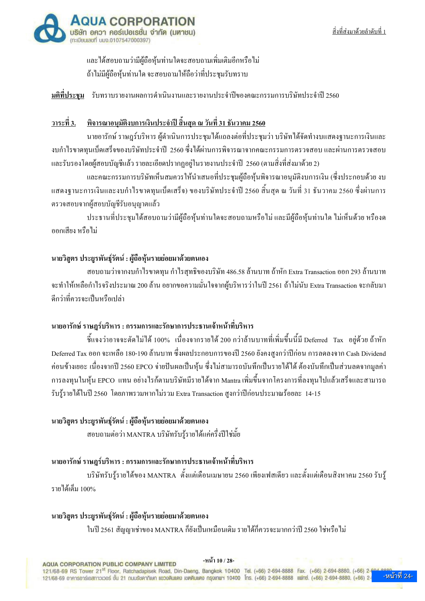

และได้สอบถามว่ามีผ้ถือห้นท่านใดจะสอบถามเพิ่มเติมอีกหรือไม่ ถ้าไม่มีผู้ถือหุ้นท่านใด จะสอบถามให้ถือว่าที่ประชุมรับทราบ

มติที่ประชุม รับทราบรายงานผลการคำเนินงานและรายงานประจำปีของคณะกรรมการบริษัทประจำปี 2560

#### วาระที่ 3. ี พิจารณาอนุมัติงบการเงินประจำปี สิ้นสุด ณ วันที่ 31 ธันวาคม 2560

้นายอารักษ์ ราษฎร์บริหาร ผู้คำเนินการประชุมได้แถลงต่อที่ประชุมว่า บริษัทได้จัดทำงบแสดงฐานะการเงินและ งบกำไรขาดทุนเบ็ดเสร็จของบริษัทประจำปี 2560 ซึ่งได้ผ่านการพิจารณาจากคณะกรรมการตรวจสอบ และผ่านการตรวจสอบ และรับรองโดยผู้สอบบัญชีแล้ว รายละเอียดปรากฏอยู่ในรายงานประจำปี 2560 (ตามสิ่งที่ส่งมาด้วย 2)

และคณะกรรมการบริษัทเห็นสมควรให้นำเสนอที่ประชุมผู้ถือหุ้นพิจารณาอนุมัติงบการเงิน (ซึ่งประกอบด้วย งบ แสคงฐานะการเงินและงบกำไรขาดทุนเบ็ดเสร็จ) ของบริษัทประจำปี 2560 สิ้นสุด ณ วันที่ 31 ธันวาคม 2560 ซึ่งผ่านการ ตรวจสอบจากผู้สอบบัญชีรับอนุญาตแล้ว

ประธานที่ประชุมได้สอบถามว่ามีผู้ถือหุ้นท่านใคจะสอบถามหรือไม่ และมีผู้ถือหุ้นท่านใด ไม่เห็นด้วย หรืองด ้ออกเสียง หรือไบ่

## นายวิสูตร ประยูรพันธุ์รัตน์ : ผู้ถือหุ้นรายย่อยมาด้วยตนเอง

ิสอบถามว่าจากงบกำไรขาดทน กำไรสทธิของบริษัท 486.58 ล้านบาท ถ้าหัก Extra Transaction ออก 293 ล้านบาท จะทำให้เหลือกำไรจริงประมาณ 200 ล้าน อยากขอความมั่นใจจากผ้บริหารว่าในปี 2561 ถ้าไม่นับ Extra Transaction จะกลับมา ดีกว่าที่ควรจะเป็นหรือเปล่า

## ้นายอารักษ์ ราษภร์บริหาร : กรรมการและรักษาการประธานเจ้าหน้าที่บริหาร

์ ขี้แจงว่าอาจจะตัดไม่ได้ 100% เนื่องจากรายได้ 200 กว่าถ้านบาทที่เพิ่มขึ้นนี้มี Deferred Tax อยู่ด้วย ถ้าหัก Deferred Tax ออก จะเหลือ 180-190 ล้านบาท ซึ่งผลประกอบการของปี 2560 ยังคงสูงกว่าปีก่อน การลดลงจาก Cash Dividend ี ค่อนข้างเยอะ เนื่องจากปี 2560 EPCO จ่ายปันผลเป็นห้น ซึ่งไม่สามารถบันทึกเป็นรายได้ได้ ต้องบันทึกเป็นส่วนลดจากมลค่า ี การลงทนในห้น EPCO แทน อย่างไรก้ตามบริษัทมีรายได้จาก Mantra เพิ่มขึ้นจากโครงการที่ลงทนไปแล้วเสร็จและสามารถ รับรู้รายได้ในปี 2560 โดยภาพรวมหากไม่รวม Extra Transaction สูงกว่าปีก่อนประมาณร้อยละ 14-15

## นายวิสูตร ประยูรพันธุ์รัตน์ : ผู้ถือหุ้นรายย่อยมาด้วยตนเอง

ิสอบถามต่อว่า MANTRA บริษัทรับรู้รายได้แค่ครึ่งปีใช่มั้ย

## ้นายอารักษ์ ราษฎร์บริหาร : กรรมการและรักษาการประธานเจ้าหน้าที่บริหาร

ิบริษัทรับรู้รายใด้ของ MANTRA ตั้งแต่เดือนเมษายน 2560 เพียงเฟสเดียว และตั้งแต่เดือนสิงหาคม 2560 รับรู้ รายได้เต็ม 100%

#### นายวิสูตร ประยูรพันธุ์รัตน์ : ผู้ถือหุ้นรายย่อยมาด้วยตนเอง

ในปี 2561 สัญญาเช่าของ MANTRA ก็ยังเป็นเหมือนเดิม รายใด้กี่ควรจะมากกว่าปี 2560 ใช่หรือไม่

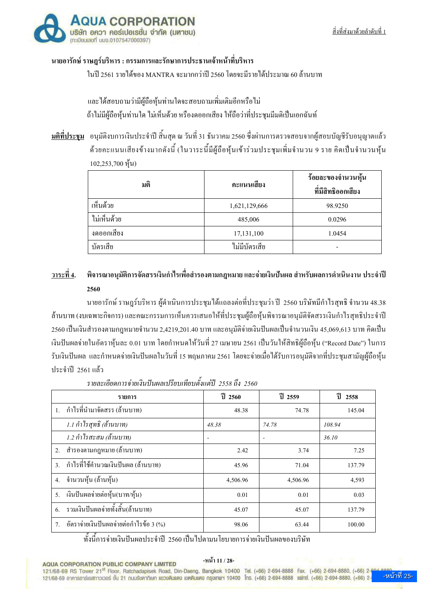

#### ้นายอารักษ์ ราษฎร์บริหาร : กรรมการและรักษาการประธานเจ้าหน้าที่บริหาร

ในปี 2561 รายได้ของ MANTRA จะมากกว่าปี 2560 โดยจะมีรายได้ประมาณ 60 ถ้านบาท

และได้สอบถามว่ามีผู้ถือหุ้นท่านใดจะสอบถามเพิ่มเติมอีกหรือไม่ ถ้าไม่มีผู้ถือหุ้นท่านใด ไม่เห็นด้วย หรืองดออกเสียง ให้ถือว่าที่ประชุมมีมติเป็นเอกฉันท์

<u>ุมติที่ประชุม</u> อนุมัติงบการเงินประจำปี สิ้นสุด ณ วันที่ 31 ธันวาคม 2560 ซึ่งผ่านการตรวจสอบจากผู้สอบบัญชีรับอนุญาตแล้ว ้ด้วยคะแนนเสียงข้างมากดังนี้ (ในวาระนี้มีผู้ถือหุ้นเข้าร่วมประชุมเพิ่มจำนวน 9 ราย คิดเป็นจำนวนหุ้น 102,253,700 หัน)

| มติ         | คะแนนเสียง    | ร้อยละของจำนวนหุ้น<br>ที่มีสิทธิออกเสียง |
|-------------|---------------|------------------------------------------|
| เห็นด้วย    | 1,621,129,666 | 98.9250                                  |
| ไม่เห็นด้วย | 485,006       | 0.0296                                   |
| งคออกเสียง  | 17,131,100    | 1.0454                                   |
| บัตรเสีย    | ไม่มีบัตรเสีย |                                          |

#### วาระที่ 4. ี พิจารณาอนุมัติการจัดสรรเงินกำไรเพื่อสำรองตามกฎหมาย และจ่ายเงินปันผล สำหรับผลการดำเนินงาน ประจำปี 2560

นายอารักษ์ ราษฎร์บริหาร ผู้ดำเนินการประชมได้แถลงต่อที่ประชมว่า ปี 2560 บริษัทมีกำไรสทธิ์ จำนวน 48.38 ้ถ้านบาท (งบเฉพาะกิจการ) และคณะกรรมการเห็นควรเสนอให้ที่ประชุมผู้ถือหุ้นพิจารณาอนุมัติจัคสรรเงินกำไรสุทธิประจำปี 2560 เป็นเงินสำรองตามกฎหมายจำนวน 2,4219,201.40 บาท และอนุมัติจ่ายเงินปันผลเป็นจำนวนเงิน 45,069,613 บาท คิดเป็น ้เงินปันผลจ่ายในอัตราหุ้นละ 0.01 บาท โดยกำหนดให้วันที่ 27 เมษายน 2561 เป็นวันให้สิทธิผู้ถือหุ้น ("Record Date") ในการ ้รับเงินปันผล และกำหนดง่ายเงินปันผลในวันที่ 15 พฤษภาคม 2561 โดยจะจ่ายเมื่อได้รับการอนุมัติจากที่ประชุมสามัญผู้ถือหุ้น ประจำปี 2561 แล้ว

|    | รายการ                                 | ปี 2560                  | $\tilde{1}$ 2559 | $\tilde{1}$ 2558 |
|----|----------------------------------------|--------------------------|------------------|------------------|
|    | กำไรที่นำมาจัดสรร (ล้านบาท)            | 48.38                    | 74.78            | 145.04           |
|    | 1.1 กำไรสุทธิ (ล้านบาท)                | 48.38                    | 74.78            | 108.94           |
|    | 1.2 กำไรสะสม (ล้านบาท)                 | $\overline{\phantom{a}}$ |                  | 36.10            |
| 2. | ้สำรองตามกฎหมาย (ล้านบาท)              | 2.42                     | 3.74             | 7.25             |
|    | 3. กำไรที่ใช้คำนวณเงินปันผล (ล้านบาท)  | 45.96                    | 71.04            | 137.79           |
| 4. | จำนวนหุ้น (ถ้านหุ้น)                   | 4,506.96                 | 4,506.96         | 4,593            |
| 5. | เงินปันผลจ่ายต่อหุ้น(บาท/หุ้น)         | 0.01                     | 0.01             | 0.03             |
| 6. | รวมเงินปันผลจ่ายทั้งสิ้น(ล้านบาท)      | 45.07                    | 45.07            | 137.79           |
| 7. | อัตราจ่ายเงินปันผลจ่ายต่อกำไรข้อ 3 (%) | 98.06                    | 63.44            | 100.00           |

รายละเอียดการจ่ายเงินปันผลเปรียบเทียบตั้งแต่ปี 2558 ถึง 2560

ทั้งนี้การจ่ายเงินปันผลประจำปี 2560 เป็นไปตามนโยบายการจ่ายเงินปันผลของบริษัท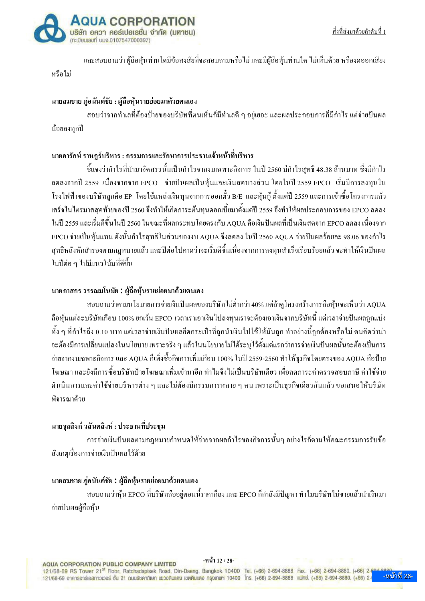

และสอบถามว่า ผู้ถือห้นท่านใดมีข้อสงสัยที่จะสอบถามหรือไม่ และมีผู้ถือห้นท่านใด ไม่เห็นด้วย หรืองดออกเสียง หรือไม่

#### นายสมชาย ภู่อนันต์ชัย : ผู้ถือหุ้นรายย่อยมาด้วยตนเอง

ี สอบว่าจากทำเลที่ต้องป้ายของบริษัทที่ตนเห็นก็มีทำเลดี ๆ อยู่เยอะ และผลประกอบการก็มีกำไร แต่จ่ายปันผล น้อยลงทกปี

## ้นายอารักษ์ ราษฎร์บริหาร : กรรมการและรักษาการประธานเจ้าหน้าที่บริหาร

์ ขี้แจงว่ากำไรที่นำมาจัดสรรนั้นเป็นกำไรจากงบเฉพาะกิจการ ในปี 2560 มีกำไรสทธิ 48.38 ล้านบาท ซึ่งมีกำไร ิลคลงจากปี 2559 เนื่องจากจาก EPCO จ่ายปันผลเป็นหุ้นและเงินสคบางส่วน โดยในปี 2559 EPCO เริ่มมีการลงทุนใน โรงไฟฟ้าของบริษัทลูกคือ EP โดยใช้แหล่งเงินทุนจากการออกตัว B/E และหุ้นกู้ ตั้งแต่ปี 2559 และการเข้าซื้อโครงการแล้ว ูเสร็จในไตรมาสสดท้ายของปี 2560 จึงทำให้เกิดภาระต้นทนดอกเบี้ยมาตั้งแต่ปี 2559 จึงทำให้ผลประกอบการของ EPCO ลดลง ในปี 2559 และเริ่มดีขึ้นในปี 2560 ในขณะที่ผลกระทบโดยตรงกับ AQUA คือเงินปันผลที่เป็นเงินสดจาก EPCO ลดลง เนื่องจาก EPCO จ่ายเป็นห้นแทน ดังนั้นกำไรสทธิในส่วนของงบ AOUA จึงลดลง ในปี 2560 AOUA จ่ายปันผลร้อยละ 98.06 ของกำไร ี่ สทธิหลังหักสำรองตามกฎหมายแล้ว และปีต่อไปคาดว่าจะเริ่มดีขึ้นเนื่องจากการลงทนสำเร็จเรียบร้อยแล้ว จะทำให้เงินปันผล ในปีต่อ ๆ ไปมีแนวโน้มที่ดีขึ้น

## นายภาสกร วรรณมโนมัย : ผู้ถือหุ้นรายย่อยมาด้วยตนเอง

ิสอบถามว่าตามนโยบายการจ่ายเงินปันผลของบริษัทไม่ต่ำกว่า 40% แต่ถ้าคโครงสร้างการถือห้นจะเห็นว่า AOUA ู้ถือห้นแต่ละบริษัทเกือบ 100% ยกเว้น EPCO เวลาเราเอาเงินไปลงทนเราจะต้องเอาเงินจากบริษัทนี้ แต่เวลาจ่ายปันผลถกแบ่ง ้ทั้ง ๆ ที่กำไรถึง 0.10 บาท แต่เวลาจ่ายเงินปันผลยึดกระเป๋าที่ถูกนำเงินไปใช้ให้มันถูก ทำอย่างนี้ถูกต้องหรือไม่ ตนคิดว่าน่า ้จะต้องมีการเปลี่ยนแปลงในนโยบาย เพราะจริง ๆ แล้วในนโยบายไม่ได้ระบุไว้ตั้งแต่แรกว่าการจ่ายเงินปันผลนั้นจะต้องเป็นการ ้จ่ายจากงบเฉพาะกิจการ และ AOUA ก็เพิ่งซื้อกิจการเพิ่มเกือบ 100% ในปี 2559-2560 ทำให้ธรกิจโดยตรงของ AOUA คือป้าย โฆษณา และยังมีการซื้อบริษัทป้ายโฆษณาเพิ่มเข้ามาอีก ทำใมจึงไม่เป็นบริษัทเดียว เพื่อลดภาระค่าตรวจสอบภาษี ค่าใช้จ่าย ้ดำเนินการและค่าใช้จ่ายบริหารต่าง ๆ และไม่ต้องมีกรรมการหลาย ๆ คน เพราะเป็นธุรกิจเดียวกันแล้ว ขอเสนอให้บริษัท พิการณาด้วย

## นายจุลสิงห์ วสันตสิงห์ : ประธานที่ประชุม

ี การจ่ายเงินปันผลตามกฎหมายกำหนดให้จ่ายจากผลกำไรของกิจการนั้นๆ อย่างไรก็ตามให้คณะกรรมการรับข้อ สังเกตเรื่องการจ่ายเงินปันผลไว้ด้วย

## นายสมชาย ภ่อนันต์ชัย : ผู้ถือห้นรายย่อยมาด้วยตนเอง

ิ สอบถามว่าหุ้น EPCO ที่บริษัทถืออยู่ตอนนี้ราคาก็ลง และ EPCO ก็กำลังมีปัญหา ทำไมบริษัทไม่ขายแล้วนำเงินมา จ่ายปันผลผู้ถือหุ้น

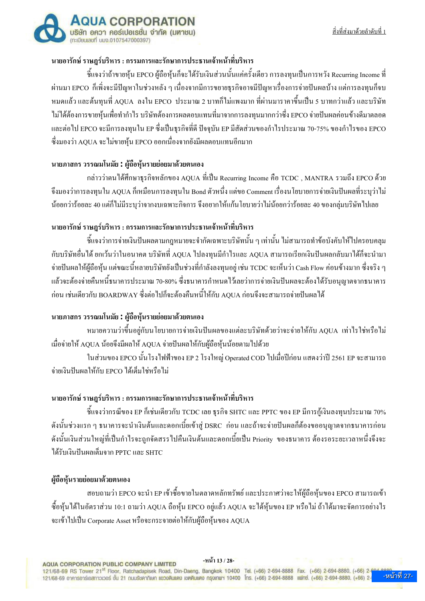

## ้นายอารักษ์ ราษฎร์บริหาร : กรรมการและรักษาการประธานเจ้าหน้าที่บริหาร

์ ชี้แจงว่าถ้าขายหุ้น EPCO ผู้ถือหุ้นก็จะได้รับเงินส่วนนั้นแก่กรั้งเคียว การลงทุนเป็นการหวัง Recurring Income ที่ ้ผ่านมา EPCO ก็เพิ่งจะมีปัญหาในช่วงหลัง ๆ เนื่องจากมีการขยายธุรกิจอาจมีปัญหาเรื่องการจ่ายปันผลบ้าง แต่การลงทุนก็จบ ี หมดแล้ว และต้นทนที่ AOUA ลงใน EPCO ประมาณ 2 บาทก็ไม่แพงมาก ที่ผ่านมาราคาขึ้นเป็น 5 บาทกว่าแล้ว และบริษัท ่ ไม่ได้ต้องการขายหุ้นเพื่อทำกำไร บริษัทต้องการผลตอบแทนที่มาจากการลงทุนมากกว่าซึ่ง EPCO จ่ายปันผลก่อนข้างดีมาตลอด และต่อไป EPCO จะมีการลงทุนใน EP ซึ่งเป็นธุรกิจที่ดี ปัจจุบัน EP มีสัดส่วนของกำไรประมาณ 70-75% ของกำไรของ EPCO ซึ่งมองว่า AOUA จะไม่ขายห้น EPCO ออกเนื่องจากยังมีผลตอบแทนอีกมาก

#### นายภาสกร วรรณมโนมัย : ผู้ถือหุ้นรายย่อยมาด้วยตนเอง

ึกล่าวว่าตนใด้ศึกษาธรกิจหลักของ AQUA ที่เป็น Recurring Income กือ TCDC , MANTRA รวมถึง EPCO ด้วย ้ จึงมองว่าการลงทุนใน AQUA ก็เหมือนการลงทุนใน Bond ตัวหนึ่ง แต่ขอ Comment เรื่องน โยบายการจ่ายเงินปันผลที่ระบุว่าไม่ ้น้อยกว่าร้อยละ 40 แต่ก็ไม่มีระบุว่าจากงบเฉพาะกิจการ จึงอยากให้แก้นโยบายว่าไม่น้อยกว่าร้อยละ 40 ของกลุ่มบริษัทไปเลย

## ้นายอารักษ์ ราษภร์บริหาร : กรรมการและรักษาการประธานเจ้าหน้าที่บริหาร

์ ชี้แจงว่าการจ่ายเงินปันผลตามกฎหมายจะจำกัดเฉพาะบริษัทนั้น ๆ เท่านั้น ไม่สามารถทำข้อบังคับให้ไปครอบคลุม ้กับบริษัทอื่นได้ ยกเว้นว่าในอนาคต บริษัทที่ AOUA ไปลงทนมีกำไรและ AOUA สามารถเรียกเงินปันผลกลับมาได้ก็จะนำมา ี่ จ่ายปันผลให้ผู้ถือหุ้น แต่ขณะนี้หลายบริษัทยังเป็นช่วงที่กำลังลงทุนอยู่ เช่น TCDC จะเห็นว่า Cash Flow ค่อนข้างมาก ซึ่งจริง ๆ แล้วจะต้องจ่ายกืนหนี้ธนาคารประมาณ 70-80% ซึ่งธนาคารกำหนดไว้เลยว่าการจ่ายเงินปันผลจะต้องได้รับอนุญาตจากธนาคาร ก่อน เช่นเดียวกับ BOARDWAY ซึ่งต่อไปก็จะต้องกืนหนี้ให้กับ AOUA ก่อนจึงจะสามารถจ่ายปันผลได้

## นายภาสกร วรรณมโนมัย : ผู้ถือหุ้นรายย่อยมาด้วยตนเอง

หมายความว่าขึ้นอยู่กับนโยบายการจ่ายเงินปันผลของแต่ละบริษัทด้วยว่าจะจ่ายให้กับ AQUA เท่าไรใช่หรือไม่ เมื่อง่ายให้ AQUA น้อยจึงมีผลให้ AQUA ง่ายปันผลให้กับผู้ถือหุ้นน้อยตามไปด้วย

ในส่วนของ EPCO นั้นโรงไฟฟ้าของ EP 2 โรงใหญ่ Operated COD ไปเมื่อปีก่อน แสดงว่าปี 2561 EP จะสามารถ จ่ายเงินปันผลให้กับ EPCO ได้เต็มใช่หรือไม่

## ้นายอารักษ์ ราษภร์บริหาร : กรรมการและรักษาการประธานเจ้าหน้าที่บริหาร

์ ขี้แจงว่ากรณีของ EP ก็เช่นเดียวกับ TCDC เลย ธุรกิจ SHTC และ PPTC ของ EP มีการกู้เงินลงทุนประมาณ 70% ี ดังนั้นช่วงแรก ๆ ธนาคารจะนำเงินต้นและดอกเบี้ยเข้าสู่ DSRC ก่อน และถ้าจะจ่ายปันผลก็ต้องขออนุญาตจากธนาคารก่อน ี ดังนั้นเงินส่วนใหญ่ที่เป็นกำไรจะถูกจัดสรรไปคืนเงินต้นและดอกเบี้ยเป็น Priority ของธนาคาร ต้องรอระยะเวลาหนึ่งจึงจะ ได้รับเงินปันผลเต็มจาก PPTC และ SHTC

## ผู้ถือหุ้นรายย่อยมาด้วยตนเอง

ิ สอบถามว่า EPCO จะนำ EP เข้าซื้อขายในตลาดหลักทรัพย์ และประกาศว่าจะให้ผู้ถือหุ้นของ EPCO สามารถเข้า ซื้อหุ้นใด้ในอัตราส่วน 10:1 ถามว่า AQUA ถือหุ้น EPCO อยู่แล้ว AQUA จะใด้หุ้นของ EP หรือไม่ ถ้าใด้มาจะจัดการอย่างไร จะเข้าไปเป็น Corporate Asset หรือจะกระจายต่อให้กับผ้ถือห้นของ AOUA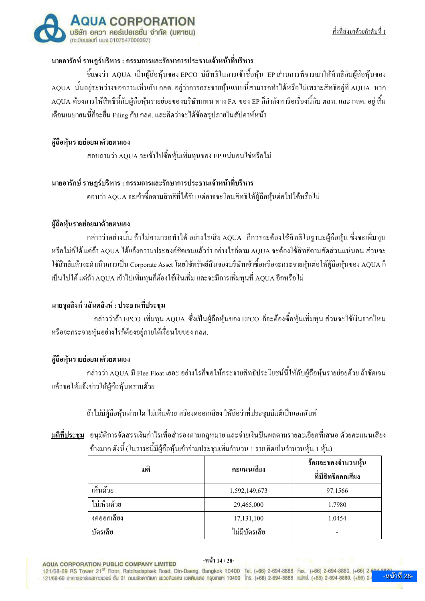

#### ้นายอารักษ์ ราษฎร์บริหาร : กรรมการและรักษาการประธานเจ้าหน้าที่บริหาร

์ ขี้แจงว่า AQUA เป็นผู้ถือหุ้นของ EPCO มีสิทธิในการเข้าซื้อหุ้น EP ส่วนการพิจารณาให้สิทธิกับผู้ถือหุ้นของ AQUA นั้นอยู่ระหว่างขอความเห็นกับ กลต. อยู่ว่าการกระจายหุ้นแบบนี้สามารถทำใด้หรือไม่เพราะสิทธิอยู่ที่ AQUA หาก AQUA ต้องการให้สิทธินี้กับผู้ถือหุ้นรายย่อยของบริษัทแทน ทาง FA ของ EP ก็กำลังหารือเรื่องนี้กับ ตลท. และ กลต. อยู่ สิ้น ้ เคือนเมษาขนนี้ก็จะขื่น Filing กับ กลต. และคิดว่าจะได้ข้อสรุปภายในสัปดาห์หน้า

#### ผู้ถือหุ้นรายย่อยมาด้วยตนเอง

ิสอบถามว่า AOUA จะเข้าไปซื้อห้นเพิ่มทนของ EP แน่นอนใช่หรือไม่

## ้นายอารักษ์ ราษฎร์บริหาร : กรรมการและรักษาการประธานเจ้าหน้าที่บริหาร

ตอบว่า AOUA จะเข้าซื้อตามสิทธิที่ได้รับ แต่อาจจะโอนสิทธิให้ผู้ถือห้นต่อไปได้หรือไม่

#### ผู้ถือห้นรายย่อยมาด้วยตนเอง

กล่าวว่าอย่างนั้น ถ้าไม่สามารถทำได้ อย่างไรเสีย AQUA ก็ควรจะต้องใช้สิทธิในฐานะผู้ถือหุ้น ซึ่งจะเพิ่มทุน หรือไม่ก็ได้ แต่ถ้า AQUA ได้แจ้งความประสงค์ชัดเจนแล้วว่า อย่างไรก็ตาม AQUA จะต้องใช้สิทธิตามสัดส่วนแน่นอน ส่วนจะ ใช้สิทธิแล้วจะดำเนินการเป็น Corporate Asset โดยใช้ทรัพย์สินของบริษัทเข้าซื้อหรือจะกระจายห้นต่อให้ผู้ถือห้นของ AOUA ก็ ้เป็นไปได้ แต่ถ้า AOUA เข้าไปเพิ่มทนก็ต้องใช้เงินเพิ่ม และจะมีการเพิ่มทนที่ AOUA อีกหรือไม่

#### นายจุลสิงห์ วสันตสิงห์ : ประธานที่ประชุม

กล่าวว่าถ้า EPCO เพิ่มทน AOUA ซึ่งเป็นผู้ถือห้นของ EPCO ก็จะต้องซื้อห้นเพิ่มทน ส่วนจะใช้เงินจากใหน หรือจะกระจายห้นอย่างไรก็ต้องอย่ภายใต้เงื่อนไขของ กลต.

#### ผู้ถือหุ้นรายย่อยมาด้วยตนเอง

ึกล่าวว่า AOUA มี Flee Float เยอะ อย่างไรก็ขอให้กระจายสิทธิประโยชน์นี้ให้กับผู้ถือห้นรายย่อยด้วย ถ้าชัดเจน ้แล้วขอให้แจ้งข่าวให้ผู้ถือหุ้นทราบด้วย

้ถ้าไม่มีผู้ถือห้นท่านใด ไม่เห็นด้วย หรืองดออกเสียง ให้ถือว่าที่ประชมมีมติเป็นเอกฉันท์

<mark>ิ่มติที่ประชม</mark> อนมัติการจัดสรรเงินกำไรเพื่อสำรองตามกฎหมาย และจ่ายเงินปันผลตามรายละเอียดที่เสนอ ด้วยคะแนนเสียง ้ ข้างมาก ดังนี้ (ในวาระนี้มีผู้ถือหุ้นเข้าร่วมประชุมเพิ่มจำนวน 1 ราย คิดเป็นจำนวนหุ้น 1 หุ้น)

| มติ         | คะแนนเสียง    | ร้อยละของจำนวนหุ้น<br>ที่มีสิทธิออกเสียง |
|-------------|---------------|------------------------------------------|
| เห็นด้วย    | 1,592,149,673 | 97.1566                                  |
| ไม่เห็นด้วย | 29,465,000    | 1.7980                                   |
| งคออกเสียง  | 17,131,100    | 1.0454                                   |
| บัตรเสีย    | ไม่มีบัตรเสีย | -                                        |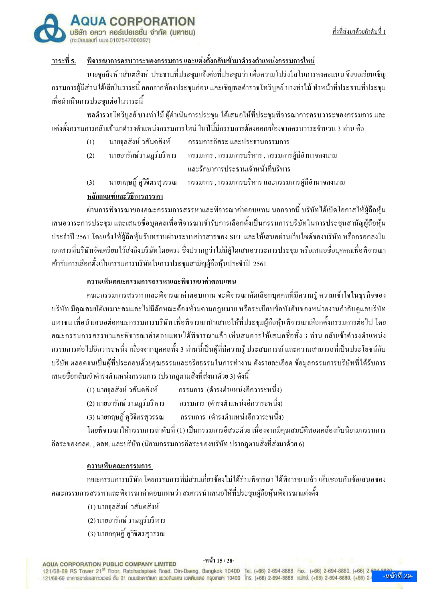

#### ี พิจารณาการครบวาระของกรรม<u>การ และแต่งตั้งกลับเข้ามาดำรงตำแหน่งกรรมการใหม่</u> ำาระที่ 5.

ินายจุลสิงห์ วสันตสิงห์ ประธานที่ประชุมแจ้งต่อที่ประชุมว่า เพื่อความโปร่งใสในการลงคะแนน จึงขอเรียนเชิญ ี กรรมการผู้มีส่วนใด้เสียในวาระนี้ ออกจากห้องประชุมก่อน และเชิญพลตำรวจโทวิบูลย์ บางท่าไม้ ทำหน้าที่ประธานที่ประชุม เพื่อคำเนินการประชมต่อในวาระนี้

พลตำรวจโทวิบูลย์ บางท่าไม้ ผู้คำเนินการประชุม ได้เสนอให้ที่ประชุมพิจารณาการครบวาระของกรรมการ และ ้แต่งตั้งกรรมการกลับเข้ามาดำรงตำแหน่งกรรมการใหม่ ในปีนี้มีกรรมการต้องออกเนื่องจากครบวาระจำนวน 3 ท่าน คือ

- นายจลสิงห์ วสันตสิงห์ กรรมการอิสระ และประธานกรรมการ  $(1)$ นายอารักษ์ราษฎร์บริหาร ิกรรมการ . กรรมการบริหาร . กรรมการผู้มีอำนาจลงนาม  $(2)$ 
	- และรักษาการประธานเจ้าหน้าที่บริหาร
- นายกฤษฎิ์ คูวิจิตรสุวรรณ  $(3)$
- ิกรรมการ , กรรมการบริหาร และกรรมการผู้มีอำนาจลงนาม

## หลักเกณฑ์และวิธีการสรรหา

้ผ่านการพิจารณาของคณะกรรมการสรรหาและพิจารณาค่าตอบแทน นอกจากนี้ บริษัท ได้เปิดโอกาสให้ผู้ถือห้น ้ เสนอวาระการประชม และเสนอชื่อบคคลเพื่อพิจารณาเข้ารับการเลือกตั้งเป็นกรรมการบริษัทในการประชมสามัณผ้ถือห้น ประจำปี 2561 โดยแจ้งให้ผู้ถือหุ้นรับทราบผ่านระบบข่าวสารของ SET และให้เสนอผ่านเว็บไซด์ของบริษัท หรือกรอกลงใน ้เอกสารที่บริษัทจัดเตรียมไว้ส่งถึงบริษัทโดยตรง ซึ่งปรากฏว่าไม่มีผู้ใดเสนอวาระการประชุม หรือเสนอชื่อบุคคลเพื่อพิจารณา เข้ารับการเลือกตั้งเป็นกรรมการบริษัทในการประชุมสามัญผู้ถือหุ้นประจำปี 2561

#### <u> ความเห็นคณะกรรมการสรรหาและพิจารณาค่าตอบแทน</u>

ึคณะกรรมการสรรหาและพิจารณาค่าตอบแทน จะพิจารณาคัดเลือกบคคลที่มีความร้ ความเข้าใจในธรกิจของ บริษัท มีคณสมบัติเหมาะสมและไม่มีลักษณะต้องห้ามตามกฎหมาย หรือระเบียบข้อบังคับของหน่วยงานกำกับดแลบริษัท ้มหาชน เพื่อนำเสนอต่อคณะกรรมการบริษัท เพื่อพิจารณานำเสนอให้ที่ประชุมผู้ถือหุ้นพิจารณาเลือกตั้งกรรมการต่อไป โดย ้ คณะกรรมการสรรหาและพิจารณาค่าตอบแทนได้พิจารณาแล้ว เห็นสมควรให้เสนอชื่อทั้ง 3 ท่าน กลับเข้าดำรงตำแหน่ง ี กรรมการต่อไปอีกวาระหนึ่ง เนื่องจากบคคลทั้ง 3 ท่านนี้เป็นผู้ที่มีความร้ ประสบการณ์ และความสามารถที่เป็นประโยชน์กับ ้ บริษัท ตลอคจนเป็นผู้ที่ประกอบด้วยคุณธรรมและจริยธรรมในการทำงาน ดังรายละเอียด ข้อมูลกรรมการบริษัทที่ได้รับการ ้เสนอชื่อกลับเข้าคำรงตำแหน่งกรรมการ (ปรากฏตามสิ่งที่ส่งมาด้วย 3) ดังนี้

| (1) นายจุลสิงห์ วสันตสิงห์   | กรรมการ (ดำรงตำแหน่งอีกวาระหนึ่ง)  |
|------------------------------|------------------------------------|
| (2) นายอารักษ์ ราษฎร์บริหาร  | ึกรรมการ (ดำรงตำแหน่งอีกวาระหนึ่ง) |
| (3) นายกฤษฎิ์ คูวิจิตรสุวรรณ | ึกรรมการ (ดำรงตำแหน่งอีกวาระหนึ่ง) |

โดยพิจารณาให้กรรมการลำดับที่ (1) เป็นกรรมการอิสระด้วย เนื่องจากมีคณสมบัติสอดคล้องกับนิยามกรรมการ อิสระของกลต. . ตลท. และบริษัท (นิยามกรรมการอิสระของบริษัท ปรากภตามสิ่งที่ส่งมาค้วย 6)

#### ความเห็นคณะกรรมการ

คณะกรรมการบริษัท โดยกรรมการที่มีส่วนเกี่ยวข้องไม่ได้ร่วมพิจารณา ได้พิจารณาแล้ว เห็นชอบกับข้อเสบอของ ึ คณะกรรมการสรรหาและพิจารณาค่าตอบแทนว่า สมควรนำเสนอให้ที่ประชุมผู้ถือหุ้นพิจารณาแต่งตั้ง

> (1) นายจลสิงห์ วสันตสิงห์ (2) นายอารักษ์ ราษฎร์บริหาร (3) นายกฤษฎิ์ คูวิจิตรสุวรรณ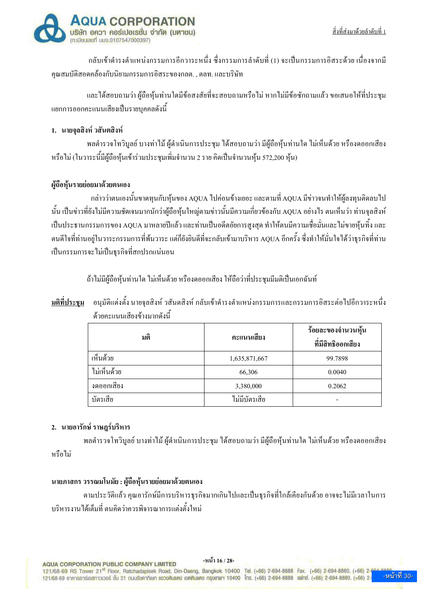

ึกลับเข้าดำรงตำแหน่งกรรมการอีกวาระหนึ่ง ซึ่งกรรมการลำดับที่ (1) จะเป็นกรรมการอิสระด้วย เนื่องจากมี ึคณสมบัติสอดคล้องกับนิยามกรรมการอิสระของกลต. . ตลท. และบริษัท

และได้สอบถามว่า ผู้ถือหุ้นท่านใดมีข้อสงสัยที่จะสอบถามหรือไม่ หากไม่มีข้อซักถามแล้ว ขอเสนอให้ที่ประชุม แขกการออกคะแนนเสียงเป็นรายบคคลดังนี้

#### 1. นายจลสิงห์ วสันตสิงห์

ี พลตำรวจโทวิบูลย์ บางท่าไม้ ผู้คำเนินการประชุม ได้สอบถามว่า มีผู้ถือหุ้นท่านใด ไม่เห็นด้วย หรืองดออกเสียง หรือไม่ (ในวาระนี้มีผู้ถือหุ้นเข้าร่วมประชุมเพิ่มจำนวน 2 ราย คิดเป็นจำนวนหุ้น 572,200 หุ้น)

## ผู้ถือห้นรายย่อยมาด้วยตนเอง

ึกล่าวว่าตนเองนั้นขาดทุนกับหุ้นของ AQUA ไปก่อนข้างเยอะ และตามที่ AQUA มีข่าวจนทำให้ผู้ลงทุนติดลบไป ้นั้น เป็นข่าวที่ยังไม่มีความชัดเจนมากนักว่าผู้ถือหุ้นใหญ่ตามข่าวนั้นมีความเกี่ยวข้องกับ AQUA อย่างไร ตนเห็นว่า ท่านจุลสิงห์ ้เป็นประธานกรรมการของ AQUA มาหลายปีแล้ว และท่านเป็นอดีตอัยการสูงสุด ทำให้ตนมีความเชื่อมั่นและไม่ขายหุ้นทิ้ง และ ิตนดีใจที่ท่านอย่ในวาระกรรมการที่พ้นวาระ แต่ก็ยังยินดีที่จะกลับเข้ามาบริหาร AOUA อีกครั้ง ซึ่งทำให้มั่นใจได้ว่าธรกิจที่ท่าน เป็นกรรมการจะใม่เป็นธรกิจที่สกปรกแน่นอน

้ถ้าไม่มีผู้ถือหุ้นท่านใด ไม่เห็นด้วย หรืองดออกเสียง ให้ถือว่าที่ประชุมมีมติเป็นเอกฉันท์

้ อนุมัติแต่งตั้ง นายจุลสิงห์ วสันตสิงห์ กลับเข้าดำรงตำแหน่งกรรมการและกรรมการอิสระต่อไปอีกวาระหนึ่ง มติที่ประชม ้ด้วยคะแนนเสียงข้างมากดังนี้

| มติ         | คะแนนเสียง    | ร้อยละของจำนวนหุ้น<br>ที่มีสิทธิออกเสียง |
|-------------|---------------|------------------------------------------|
| เห็นด้วย    | 1,635,871,667 | 99.7898                                  |
| ไม่เห็นด้วย | 66,306        | 0.0040                                   |
| งดออกเสียง  | 3,380,000     | 0.2062                                   |
| บัตรเสีย    | ไม่มีบัตรเสีย |                                          |

#### 2. นายอารักษ์ ราษภร์บริหาร

พลตำรวจโทวิบูลย์ บางท่าไม้ ผู้คำเนินการประชุม ได้สอบถามว่า มีผู้ถือหุ้นท่านใด ไม่เห็นด้วย หรืองคออกเสียง หรือไม่

#### นายภาสกร วรรณมโนมัย : ผู้ถือหุ้นรายย่อยมาด้วยตนเอง

ตามประวัติแล้ว คุณอารักษ์มีการบริหารธุรกิจมากเกินไปและเป็นธุรกิจที่ใกล้เคียงกันด้วย อาจจะไม่มีเวลาในการ ำเริ่หารงาบได้เต็บที่ ตบคิดว่าคารพิจารณาการแต่งตั้งใหบ่

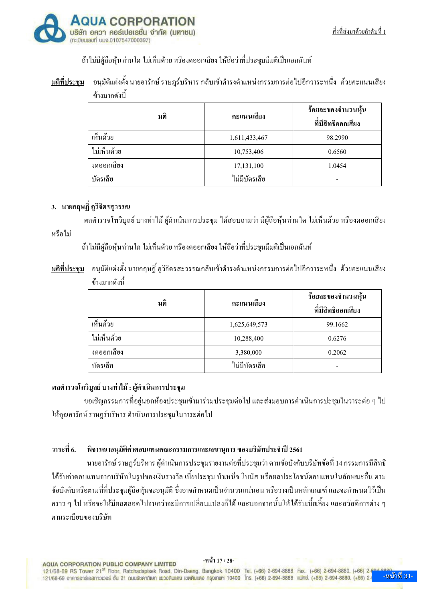

ถ้าไม่มีผู้ถือห้นท่านใด ไม่เห็นด้วย หรืองดออกเสียง ให้ถือว่าที่ประชมมีมติเป็นเอกฉันท์

#### ้ อนุมัติแต่งตั้ง นายอารักษ์ ราษฎร์บริหาร กลับเข้าดำรงตำแหน่งกรรมการต่อไปอีกวาระหนึ่ง ด้วยคะแนนเสียง มติที่ประชม ข้างมากดังนี้

| มติ         | คะแนนเสียง    | ร้อยละของจำนวนหุ้น<br>ที่มีสิทธิออกเสียง |
|-------------|---------------|------------------------------------------|
| เห็นด้วย    | 1,611,433,467 | 98.2990                                  |
| ไม่เห็นด้วย | 10,753,406    | 0.6560                                   |
| งคออกเสียง  | 17,131,100    | 1.0454                                   |
| บัตรเสีย    | ไม่มีบัตรเสีย |                                          |

## 3. นายกฤษฎิ์ คูวิจิตรสุวรรณ

หรือไม่

พลตำรวจโทวิบูลย์ บางท่าไม้ ผู้คำเนินการประชุม ได้สอบถามว่า มีผู้ถือหุ้นท่านใด ไม่เห็นด้วย หรืองดออกเสียง

ถ้าไม่มีผ้ถือห้นท่านใด ไม่เห็นด้วย หรืองดออกเสียง ให้ถือว่าที่ประชมมีมติเป็นเอกฉันท์

<mark>ุมติที่ประชุม</mark> อนุมัติแต่งตั้ง นายกฤษฎิ์ คูวิจิตรสะวรรณกลับเข้าดำรงตำแหน่งกรรมการต่อไปอีกวาระหนึ่ง ด้วยคะแนนเสียง ข้างบากดังบี้

| มติ         | คะแนนเสียง    | ร้อยละของจำนวนหุ้น<br>ที่มีสิทธิออกเสียง |
|-------------|---------------|------------------------------------------|
| เห็นด้วย    | 1,625,649,573 | 99.1662                                  |
| ไม่เห็นด้วย | 10,288,400    | 0.6276                                   |
| งดออกเสียง  | 3,380,000     | 0.2062                                   |
| บัตรเสีย    | ไม่มีบัตรเสีย |                                          |

## ี พลตำรวจโทวิบูลย์ บางท่าไม้ : ผู้ดำเนินการประชุม

ี ขอเชิญกรรมการที่อยู่นอกห้องประชุมเข้ามาร่วมประชุมต่อไป และส่งมอบการคำเนินการปะชุมในวาระต่อ ๆ ไป ให้คุณอารักษ์ ราษฎร์บริหาร คำเนินการประชุมในวาระต่อไป

#### <u>พิจารณาอนุมัติค่าตอบแทนคณะกรรมการและเลขานุการ ของบริษัทประจำปี 2561</u> วาระที่ 6.

นายอารักษ์ ราษฎร์บริหาร ผู้คำเนินการประชุมรายงานต่อที่ประชุมว่า ตามข้อบังคับบริษัทข้อที่ 14 กรรมการมีสิทธิ ใค้รับค่าตอบแทนจากบริษัทในรูปของเงินรางวัล เบี้ยประชุม บำเหน็จ โบนัส หรือผลประโยชน์ตอบแทนในลักษณะอื่น ตาม ้ ข้อบังคับหรือตามที่ที่ประชุมผู้ถือหุ้นจะอนุมัติ ซึ่งอาจกำหนดเป็นจำนวนแน่นอน หรือวางเป็นหลักเกณฑ์ และจะกำหนดไว้เป็น ่ คราว ๆ ไป หรือจะให้มีผลตลอดไปจนกว่าจะมีการเปลี่ยนแปลงก็ได้ และนอกจากนั้นให้ได้รับเบี้ยเลี้ยง และสวัสดิการต่าง ๆ ตามระเบียบของบริษัท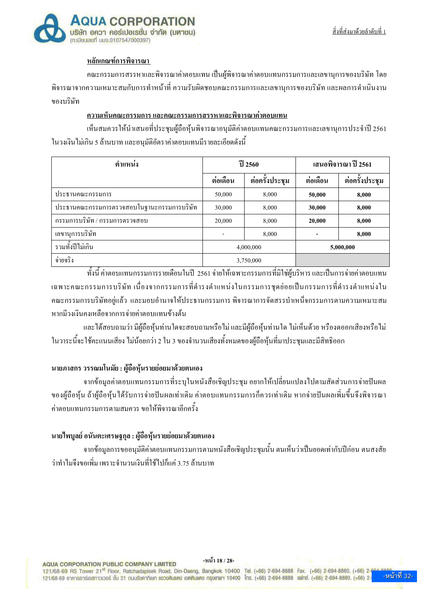

#### หลักเกณฑ์การพิจารณา

ึ คณะกรรมการสรรหาและพิจารณาค่าตอบแทน เป็นผู้พิจารณาค่าตอบแทนกรรมการและเลขานุการของบริษัท โดย ี พิจารณาจากความเหมาะสมกับการทำหน้าที่ ความรับผิดชอบคณะกรรมการและเลขานการของบริษัท และผลการดำเนินงาน ของบริษัท

#### ้ความเห็นคณะกรรมการ และคณะกรรมการสรรหาและพิจารณาค่าตอบแทน

้เห็นสมควรให้นำเสนอที่ประชุมผู้ถือหุ้นพิจารณาอนุมัติค่าตอบแทนคณะกรรมการและเลขานุการประจำปี 2561 ในวงเงินไม่เกิน 5 ถ้านบาท และอนุมัติอัตราค่าตอบแทนมีรายละเอียดดังนี้

| ตำแหน่ง                                    | ปี 2560   |                | เสนอพิจารณา ปี 2561 |                |
|--------------------------------------------|-----------|----------------|---------------------|----------------|
|                                            | ต่อเดือน  | ต่อครั้งประชุม | ต่อเดือน            | ต่อครั้งประชุม |
| ประธานคณะกรรมการ                           | 50,000    | 8,000          | 50,000              | 8,000          |
| ประธานคณะกรรมการตรวจสอบในฐานะกรรมการบริษัท | 30,000    | 8,000          | 30,000              | 8,000          |
| กรรมการบริษัท / กรรมการตรวจสอบ             | 20,000    | 8,000          | 20,000              | 8,000          |
| เลขานุการบริษัท                            |           | 8,000          |                     | 8,000          |
| รวมทั้งปีไม่เกิน                           | 4,000,000 |                |                     | 5,000,000      |
| จ่ายจริง                                   |           | 3,750,000      |                     |                |

้ทั้งนี้ ค่าตอบแทนกรรมการรายเดือนในปี 2561 จ่ายให้เฉพาะกรรมการที่มิใช่ผู้บริหาร และเป็นการจ่ายค่าตอบแทน ้เฉพาะคณะกรรมการบริษัท เนื่องจากกรรมการที่ดำรงตำแหน่งในกรรมการชดย่อยเป็นกรรมการที่ดำรงตำแหน่งใน ึ คณะกรรมการบริษัทอย่แล้ว และมอบอำนาจให้ประธานกรรมการ พิจารณาการจัดสรรบำเหน็จกรรมการตามความเหมาะสม หากมีวงเงินคงเหลือจากการจ่ายค่าตอบแทนข้างต้น

และได้สอบถามว่า มีผู้ถือหุ้นท่านใคจะสอบถามหรือไม่ และมีผู้ถือหุ้นท่านใด ไม่เห็นด้วย หรืองคออกเสียงหรือไม่ ในวาระนี้จะใช้คะแนนเสียง ไม่น้อยกว่า 2 ใน 3 ของจำนวนเสียงทั้งหมดของผู้ถือหุ้นที่มาประชุมและมีสิทธิออก

#### นายภาสกร วรรณมโนมัย : ผู้ถือหุ้นรายย่อยมาด้วยตนเอง

จากข้อมลค่าตอบแทนกรรมการที่ระบในหนังสือเชิญประชม อยากให้เปลี่ยนแปลงไปตามสัดส่วนการจ่ายปันผล ึ่งองผู้ถือหุ้น ถ้าผู้ถือหุ้นใค้รับการจ่ายปันผลเท่าเดิม ค่าตอบแทนกรรมการก็ควรเท่าเดิม หากจ่ายปันผลเพิ่มขึ้นจึงพิจารณา ้ค่าตอบแทนกรรมการตามสมควร ขอให้พิจารณาอีกครั้ง

## นายไพบูลย์ อนันตะเศรษฐกุล : ผู้ถือหุ้นรายย่อยมาด้วยตนเอง

ิจากข้อมลการขออนมัติค่าตอบแทนกรรมการตามหนังสือเชิญประชมนั้น ตนเห็นว่าเป็นขอดเท่ากับปีก่อน ตนสงสัย ว่าทำไมถึงขอเพิ่ม เพราะจำบวบเงิบที่ใช้ไปก็แค่ 3 75 ล้าบบาท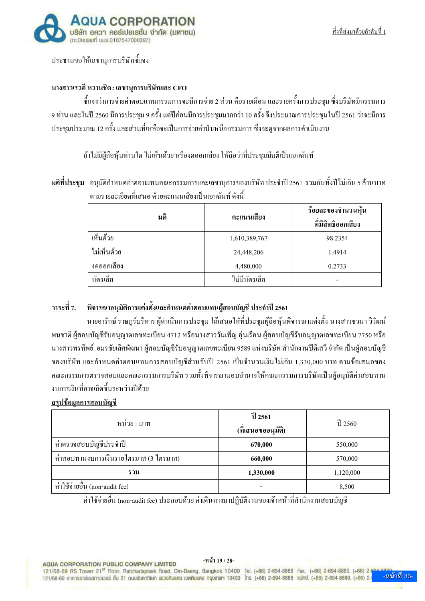

ประธานขอให้เลขานุการบริษัทชี้แจง

#### นางสาวเรวดี หวานชิด: เลขานุการบริษัทและ CFO

์ ชี้แจงว่าการจ่ายค่าตอบแทนกรรมการจะมีการจ่าย 2 ส่วน คือรายเดือน และรายครั้งการประชม ซึ่งบริษัทมีกรรมการ ่ 9 ท่าน และในปี 2560 มีการประชุม 9 ครั้ง แต่ปีก่อนมีการประชุมมากกว่า 10 ครั้ง จึงประมาณการประชุมในปี 2561 ว่าจะมีการ ี ประชุมประมาณ 12 ครั้ง และส่วนที่เหลือจะเป็นการจ่ายค่าบำเหน็จกรรมการ ซึ่งจะดูจากผลการดำเนินงาน

ถ้าไม่มีผู้ถือห้นท่านใด ไม่เห็นด้วย หรืองดออกเสียง ให้ถือว่าที่ประชมมีมติเป็นเอกฉันท์

<u>ุมติที่ประชุม</u> อนุมัติกำหนดค่าตอบแทนคณะกรรมการและเลขานุการของบริษัท ประจำปี 2561 รวมกันทั้งปีไม่เกิน 5 ล้านบาท ิตามรายละเอียดที่เสนอ ด้วยคะแนนเสียงเป็นเอกฉันท์ ดังนี้

| มติ         | คะแนนเสียง    | ร้อยละของจำนวนหุ้น<br>ที่มีสิทธิออกเสียง |
|-------------|---------------|------------------------------------------|
| เห็นด้วย    | 1,610,389,767 | 98.2354                                  |
| ไม่เห็นด้วย | 24,448,206    | 1.4914                                   |
| งคออกเสียง  | 4,480,000     | 0.2733                                   |
| บัตรเสีย    | ไม่มีบัตรเสีย | $\overline{\phantom{0}}$                 |

#### <u>ี พิจารณาอนุมัติการแต่งตั้งและกำหนดค่าตอบแทนผู้สอบบัญชี ประจำปี 2561</u> วาระที่ 7.

ินายอารักษ์ ราษฎร์บริหาร ผู้คำเนินการประชุม ได้เสนอให้ที่ประชุมผู้ถือหุ้นพิจารณาแต่งตั้ง นางสาวชวนา วิวัฒน์ พนชาติ ผู้สอบบัญชีรับอนุญาตเลขทะเบียน 4712 หรือนางสาววันเพ็ญ อุ่นเรือน ผู้สอบบัญชีรับอนุญาตเลขทะเบียน 7750 หรือ ้นางสาวพรทิพย์ อมรชัยเลิศพัฒนา ผู้สอบบัญชีรับอนุญาตเลขทะเบียน 9589 แห่งบริษัท สำนักงานปีติเสวี จำกัด เป็นผู้สอบบัญชี ของบริษัท และกำหนดค่าตอบแทนการสอบบัญชีสำหรับปี 2561 เป็นจำนวนเงินไม่เกิน 1,330,000 บาท ตามข้อเสนอของ ึคณะกรรมการตรวจสอบและคณะกรรมการบริษัท รวมทั้งพิจารณามอบอำนาจให้คณะกรรมการบริษัทเป็นผ้อนมัติค่าสอบทาน งบการเงินที่อาจเกิดขึ้นระหว่างปีด้วย

#### สรปข้อมูลการสอบบัญชี

| หน่วย : บาท                             | ปี 2561<br>(ที่เสนอขออนุมัติ) | ปี 2560   |
|-----------------------------------------|-------------------------------|-----------|
| ค่าตรวจสอบบัญชีประจำปี                  | 670,000                       | 550,000   |
| ้ค่าสอบทานงบการเงินรายใตรมาส (3 ใตรมาส) | 660,000                       | 570,000   |
| รวม                                     | 1,330,000                     | 1,120,000 |
| ค่าใช้จ่ายอื่น (non-audit fee)          |                               | 8,500     |

้ค่าใช้จ่ายอื่น (non-audit fee) ประกอบด้วย ค่าเดินทางมาปฏิบัติงานของเจ้าหน้าที่สำนักงานสอบบัญชี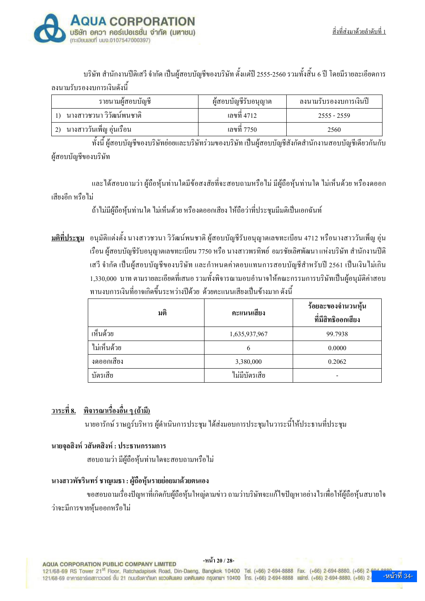

้ บริษัท สำนักงานปีติเสวี จำกัด เป็นผู้สอบบัญชีของบริษัท ตั้งแต่ปี 2555-2560 รวมทั้งสิ้น 6 ปี โดยมีรายละเอียดการ ้ลงนามรับรองงบการเงินดังนี้

| ഄ<br>รายนามผู้สอบบัญชี   | $\sim$<br>ผู้สอบบัญชิรับอนุญาต | ลงนามรับรองงบการเงินปี |
|--------------------------|--------------------------------|------------------------|
| นางสาวชวนา วิวัฒน์พนชาติ | เลขที่ 4712                    | $2555 - 2559$          |
| นางสาววันเพ็ญ อุ่นเรือน  | ้ เลขที่ 7750                  | 2560                   |

้ทั้งนี้ ผู้สอบบัญชีของบริษัทย่อยและบริษัทร่วมของบริษัท เป็นผู้สอบบัญชีสังกัดสำนักงานสอบบัญชีเดียวกันกับ ผู้สอบบัญชีของบริษัท

และใด้สอบถามว่า ผู้ถือหุ้นท่านใคมีข้อสงสัยที่จะสอบถามหรือใม่ มีผู้ถือหุ้นท่านใค ใม่เห็นด้วย หรืองคออก เสียงอีก หรือไม่

้ถ้าไม่มีผู้ถือห้นท่านใด ไม่เห็นด้วย หรืองดออกเสียง ให้ถือว่าที่ประชมมีมติเป็นเอกฉันท์

<u>ุมติที่ประชม</u> อนุมัติแต่งตั้ง นางสาวชวนา วิวัฒน์พนชาติ ผู้สอบบัญชีรับอนุญาตเลขทะเบียน 4712 หรือนางสาววันเพ็ญ อุ่น เรือน ผู้สอบบัญชีรับอนุญาตเลขทะเบียน 7750 หรือ นางสาวพรทิพย์ อมรชัยเลิศพัฒนา แห่งบริษัท สำนักงานปีติ เสวี จำกัด เป็นผู้สอบบัญชีของบริษัท และกำหนดค่าตอบแทนการสอบบัญชีสำหรับปี 2561 เป็นเงินไม่เกิน 1,330,000 บาท ตามรายละเอียดที่เสนอ รวมทั้งพิจารณามอบอำนาจให้คณะกรรมการบริษัทเป็นผู้อนุมัติค่าสอบ ทานงบการเงินที่อาจเกิดขึ้นระหว่างปีด้วย ด้วยคะแนนเสียงเป็นข้างมาก ดังนี้

| มติ         | คะแนนเสียง    | ร้อยละของจำนวนหุ้น<br>ที่มีสิทธิออกเสียง |
|-------------|---------------|------------------------------------------|
| เห็นด้วย    | 1,635,937,967 | 99.7938                                  |
| ไม่เห็นด้วย | 6             | 0.0000                                   |
| งคออกเสียง  | 3,380,000     | 0.2062                                   |
| บัตรเสีย    | ไม่มีบัตรเสีย |                                          |

## ้วาระที่ 8. พิจารณาเรื่องอื่น ๆ (ถ้ามี)

ินายอารักษ์ ราษฎร์บริหาร ผู้คำเนินการประชุม ได้ส่งมอบการประชุมในวาระนี้ให้ประธานที่ประชุม

## นายจุลสิงห์ วสันตสิงห์ : ประธานกรรมการ

ิสอบถามว่า มีผู้ถือหุ้นท่านใดจะสอบถามหรือไม่

## นางสาวพัชรินทร์ ชาญเมธา : ผู้ถือหุ้นรายย่อยมาด้วยตนเอง

ี ขอสอบถามเรื่องปัญหาที่เกิดกับผู้ถือหุ้นใหญ่ตามข่าว ถามว่าบริษัทจะแก้ไขปัญหาอย่างไรเพื่อให้ผู้ถือหุ้นสบายใจ ว่าจะมีการขายหุ้นออกหรือไม่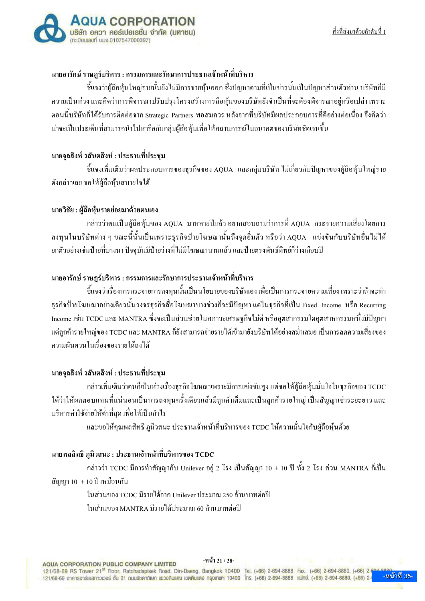

## ้นายอารักษ์ ราษฎร์บริหาร : กรรมการและรักษาการประธานเจ้าหน้าที่บริหาร

์ ขี้แจงว่าผู้ถือหุ้นใหญ่รายนั้นยังไม่มีการขายหุ้นออก ซึ่งปัญหาตามที่เป็นข่าวนั้นเป็นปัญหาส่วนตัวท่าน บริษัทก็มี ้ความเป็นห่วง และคิดว่าการพิจารณาปรับปรงโครงสร้างการถือห้นของบริษัทยังจำเป็นที่จะต้องพิจารณาอย่หรือเปล่า เพราะ ตอนนี้บริษัทก็ได้รับการติดต่อจาก Strategic Partners พอสมควร หลังจากที่บริษัทมีผลประกอบการที่ดีอย่างต่อเนื่อง จึงคิดว่า ้ น่าจะเป็นประเด็นที่สามารถนำไปหารือกับกลุ่มผู้ถือหุ้นเพื่อให้สถานการณ์ในอนาคตของบริษัทชัดเจนขึ้น

## นายจุลสิงห์ วสันตสิงห์ : ประธานที่ประชุม

์ ขี้แจงเพิ่มเติมว่าผลประกอบการของธรกิจของ AOUA และกล่มบริษัท ไม่เกี่ยวกับปัญหาของผู้ถือห้นใหญ่ราย ้ ดังกล่าวเลย ขอให้ผู้ถือหุ้นสบายใจได้

## นายวิชัย : ผู้ถือหุ้นรายย่อยมาด้วยตนเอง

ึ กล่าวว่าตนเป็นผู้ถือหุ้นของ AQUA มาหลายปีแล้ว อยากสอบถามว่าการที่ AQUA กระจายความเสี่ยงโดยการ ิ ลงทุนในบริษัทต่าง ๆ ขณะนี้นั้นเป็นเพราะธุรกิจป้ายโฆษณานั้นถึงจุดอิ่มตัว หรือว่า AQUA แข่งขันกับบริษัทอื่นไม่ได้ ียกตัวอย่างเช่นป้ายที่บางนา ปัจจุบันมีป้ายว่างที่ไม่มีโฆษณานานแล้ว และป้ายตรงพันธ์ทิพย์ก็ว่างเกือบปี

## ้นายอารักษ์ ราษฎร์บริหาร : กรรมการและรักษาการประธานเจ้าหน้าที่บริหาร

์ ขี้แจงว่าเรื่องการกระจายการลงทุนนั้นเป็นนโยบายของบริษัทเอง เพื่อเป็นการกระจายความเสี่ยง เพราะว่าถ้าจะทำ ธุรกิจป้ายโฆษณาอย่างเดียวนั้นวงจรธุรกิจสื่อโฆษณาบางช่วงก็จะมีปัญหา แต่ในธุรกิจที่เป็น Fixed Income หรือ Recurring Income เช่น TCDC และ MANTRA ซึ่งจะเป็นส่วนช่วยในสภาวะเศรษฐกิจไม่ดี หรืออุตสากรรมใดอุตสาหกรรมหนึ่งมีปัญหา แต่ลูกค้ารายใหญ่ของ TCDC และ MANTRA ก็ยังสามารถจ่ายรายใด้เข้ามายังบริษัทใด้อย่างสม่ำเสมอ เป็นการลดความเสี่ยงของ ์ ความผับผวบใบเรื่องของรายได้ลงได้

## นายจุลสิงห์ วสันตสิงห์ : ประธานที่ประชุม

ึกล่าวเพิ่มเติมว่าตนก็เป็นห่วงเรื่องธุรกิจโฆษณาเพราะมีการแข่งขันสูง แต่ขอให้ผู้ถือหุ้นมั่นใจในธุรกิจของ TCDC ใด้ว่าให้ผลตอบแทนที่แน่นอนเป็นการลงทุนครั้งเดียวแล้วมีลูกค้าเต็มและเป็นลูกค้ารายใหญ่ เป็นสัญญาเช่าระยะยาว และ ้บริหารค่าใช้จ่ายให้ต่ำที่สด เพื่อให้เป็นกำไร

และขอให้คณพลสิทธิ ภมิวสนะ ประธานเจ้าหน้าที่บริหารของ TCDC ให้ความมั่นใจกับผู้ถือห้นด้วย

## นายพลสิทธิ ภูมิวสนะ : ประธานเจ้าหน้าที่บริหารของ TCDC

ี กล่าวว่า TCDC มีการทำสัญญากับ Unilever อยู่ 2 โรง เป็นสัญญา 10 + 10 ปี ทั้ง 2 โรง ส่วน MANTRA ก็เป็น สัญญา 10 + 10 ปี เหมือนกัน

> ในส่วนของ TCDC มีรายใด้จาก Unilever ประมาณ 250 ล้านบาทต่อปี ในส่วนของ MANTRA มีรายได้ประมาณ 60 ถ้านบาทต่อปี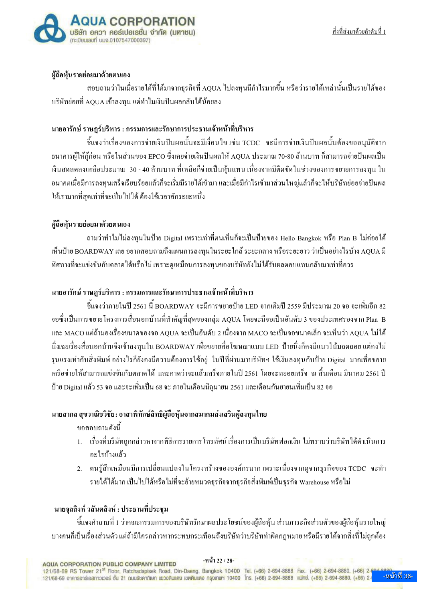

## ผู้ถือหุ้นรายย่อยมาด้วยตนเอง

ิ สอบถามว่าในเมื่อรายได้ที่ได้มาจากธุรกิจที่ AQUA ไปลงทุนมีกำไรมากขึ้น หรือว่ารายได้เหล่านั้นเป็นรายได้ของ ิบริษัทย่อยที่ AQUA เข้าลงทุน แต่ทำไมเงินปันผลกลับได้น้อยลง

## ้นายอารักษ์ ราษฎร์บริหาร : กรรมการและรักษาการประธานเจ้าหน้าที่บริหาร

์ชี้แจงว่าเรื่องของการจ่ายเงินปันผลนั้นจะมีเงื่อนไข เช่น TCDC จะมีการจ่ายเงินปันผลนั้นด้องขออนมัติจาก ิ ธนาคารผู้ให้กู้ก่อน หรือในส่วนของ EPCO ซึ่งเคยจ่ายเงินปันผลให้ AQUA ประมาณ 70-80 ล้านบาท ก็สามารถจ่ายปันผลเป็น ้เงินสดลดลงเหลือประมาณ 30 - 40 ล้านบาท ที่เหลือก็จ่ายเป็นห้นแทน เนื่องจากมีติดขัดในช่วงของการขยายการลงทน ใน ้อนาคตเมื่อมีการลงทุนเสร็จเรียบร้อยแล้วก็จะเริ่มมีรายได้เข้ามา และเมื่อมีกำไรเข้ามาส่วนใหญ่แล้วก็จะให้บริษัทย่อยจ่ายปันผล ให้เรามากที่สดเท่าที่จะเป็นไปได้ ต้องใช้เวลาสักระยะหนึ่ง

## ผู้ถือห้นรายย่อยมาด้วยตนเอง

ิ ถามว่าทำไมไม่ลงทุนในป้าย Digital เพราะเท่าที่ตนเห็นก็จะเป็นป้ายของ Hello Bangkok หรือ Plan B ไม่ค่อยได้ เห็นป้าย BOARDWAY เลย อยากสอบถามถึงแผนการลงทุนในระยะใกล้ ระยะกลาง หรือระยะยาว ว่าเป็นอย่างไรบ้าง AOUA มี ้ทิศทางที่จะแข่งขันกับตลาดใด้หรือไม่ เพราะดูเหมือนการลงทุนของบริษัทยังไม่ได้รับผลตอบแทนกลับมาเท่าที่ควร

## นายอารักษ์ ราษฎร์บริหาร : กรรมการและรักษาการประธานเจ้าหน้าที่บริหาร

์ ขี้แจงว่าภายในปี 2561 นี้ BOARDWAY จะมีการขยายป้าย LED จากเดิมปี 2559 มีประมาณ 20 จอ จะเพิ่มอีก 82 จอซึ่งเป็นการขยายโครงการสื่อนอกบ้านที่สำคัญที่สุดของกลุ่ม AQUA โดยจะมีจอเป็นอันดับ 3 ของประเทศรองจาก Plan B และ MACO แต่ถ้ามองเรื่องขนาดของจอ AOUA จะเป็นอันดับ 2 เนื่องจาก MACO จะเป็นจอขนาดเล็ก จะเห็นว่า AOUA ไม่ได้ นิ่งเฉยเรื่องสื่อนอกบ้านจึงเข้าลงทุนใน BOARDWAY เพื่อขยายสื่อโฆษณาแบบ LED ป้ายนิ่งก็คงมีแนวโน้มถดถอย แต่คงไม่ ้รุนแรงเท่ากับสิ่งพิมพ์ อย่างไรก็ยังคงมีความต้องการใช้อยู่ ในปีที่ผ่านมาบริษัทฯ ใช้เงินลงทุนกับป้าย Digital มากเพื่อขยาย เครือข่ายให้สามารถแข่งขันกับตลาดได้ และคาดว่าจะแล้วเสร็จภายในปี 2561 โดยจะทยอยเสร็จ ณ สิ้นเดือน มีนาคม 2561 ปี ู ป้าย Digital แล้ว 53 จอ และจะเพิ่มเป็น 68 จะ ภายในเดือนมิถนายน 2561 และเดือนกันยายนเพิ่มเป็น 82 จอ

## นายสากล สุขวาณิชวิชัย: อาสาพิทักษ์สิทธิผู้ถือหุ้นจากสมาคมส่งเสริมผู้ลงทุนไทย

ขอสอบถามดังนี้

- 1. เรื่องที่บริษัทถูกกล่าวหาจากพิธีการรายการโทรทัศน์ เรื่องการเป็นบริษัทฟอกเงิน ไม่ทราบว่าบริษัทได้ดำเนินการ อะไรบ้างแล้ว
- 2. ตนรู้สึกเหมือนมีการเปลี่ยนแปลงในโครงสร้างขององค์กรมาก เพราะเนื่องจากดูจากธุรกิจของ TCDC จะทำ รายใค้ได้มาก เป็นไปได้หรือไม่ที่จะย้ายหมวดธรกิจจากธรกิจสิ่งพิมพ์เป็นธรกิจ Warehouse หรือไม่

## นายจุลสิงห์ วสันตสิงห์ : ประธานที่ประชุม

์ ขี้แจงคำถามที่ 1 ว่าคณะกรรมการของบริษัทรักษาผลประโยชน์ของผู้ถือหุ้น ส่วนภาระกิจส่วนตัวของผู้ถือหุ้นรายใหญ่ บางคนก็เป็นเรื่องส่วนตัว แต่ถ้ามีใครกล่าวหากระทบกระเทือนถึงบริษัทว่าบริษัททำผิดกฎหมาย หรือมีรายใด้จากสิ่งที่ไม่ถูกต้อง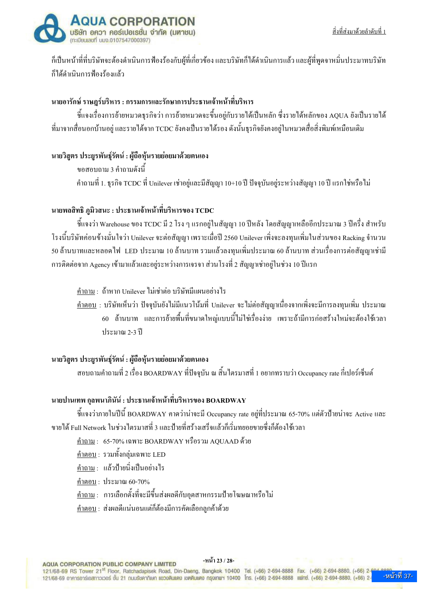

้ก็เป็นหน้าที่ที่บริษัทจะต้องคำเนินการฟ้องร้องกับผู้ที่เกี่ยวข้อง และบริษัทก็ได้คำเนินการแล้ว และผู้ที่พดจาหมิ่นประมาทบริษัท ก็ได้ดำเนินการฟ้องร้องแล้ว

#### ้นายอารักษ์ ราษฎร์บริหาร : กรรมการและรักษาการประธานเจ้าหน้าที่บริหาร

์ ชี้แจงเรื่องการย้ายหมวดธรกิจว่า การย้ายหมวดจะขึ้นอย่กับรายได้เป็นหลัก ซึ่งรายได้หลักของ AOUA ยังเป็นรายได้ ี ที่มาจากสื่อนอกบ้านอยู่ และรายใด้จาก TCDC ยังคงเป็นรายใด้รอง ดังนั้นธุรกิจยังคงอยู่ในหมวดสื่อสิ่งพิมพ์เหมือนเดิม

#### นายวิสตร ประยูรพันธุ์รัตน์ : ผู้ถือหุ้นรายย่อยมาด้วยตนเอง

์ขอสอบถาม 3 คำถามดังนี้ ี คำถามที่ 1. ธุรกิจ TCDC ที่ Unilever เช่าอยู่และมีสัญญา 10+10 ปี ปัจจุบันอยู่ระหว่างสัญญา 10 ปี แรกใช่หรือไม่

## นายพลสิทธิ ภูมิวสนะ : ประธานเจ้าหน้าที่บริหารของ TCDC

์ ชี้แจงว่า Warehouse ของ TCDC มี 2 โรง ๆ แรกอย่ในสัญญา 10 ปีหลัง โดยสัญญาหลืออีกประมาณ 3 ปีครึ่ง สำหรับ โรงนี้บริษัทก่อนข้างมั่นใจว่า Unilever จะต่อสัญญา เพราะเมื่อปี 2560 Unilever เพิ่งจะลงทุนเพิ่มในส่วนของ Racking จำนวน ี่ 50 ล้านบาทและหลอดไฟ LED ประมาณ 10 ล้านบาท รวมแล้วลงทุนเพิ่มประมาณ 60 ล้านบาท ส่วนเรื่องการต่อสัญญาเช่ามี ี การติดต่อจาก Agency เข้ามาแล้วและอย่ระหว่างการเจรจา ส่วนโรงที่ 2 สัญญาเช่าอย่ในช่วง 10 ปีแรก

้ คำถาม : ถ้าหาก Unilever ไม่เช่าต่อ บริษัทมีแผนอย่างไร

<u> คำตอบ</u> : บริษัทเห็นว่า ปัจจุบันยังไม่มีแนวโน้มที่ Unilever จะไม่ต่อสัญญาเนื่องจากเพิ่งจะมีการลงทุนเพิ่ม ประมาณ 60 ล้านบาท และการย้ายพื้นที่ขนาดใหญ่แบบนี้ไม่ใช่เรื่องง่าย เพราะถ้ามีการก่อสร้างใหม่จะต้องใช้เวลา ประมาณ 2-3 ปี

#### นายวิสูตร ประยูรพันธุ์รัตน์ : ผู้ถือหุ้นรายย่อยมาด้วยตนเอง

ิ สอบถามคำถามที่ 2 เรื่อง BOARDWAY ที่ปัจจบัน ณ สิ้น ใตรมาสที่ 1 อยากทราบว่า Occupancy rate กี่เปอร์เซ็นต์

#### นายปานเทพ กลพนาภินัน์ : ประธานเจ้าหน้าที่บริหารของ BOARDWAY

์ ขี้แจงว่าภายในปีนี้ BOARDWAY คาดว่าน่าจะมี Occupancy rate อยู่ที่ประมาณ 65-70% แต่ตัวป้ายน่าจะ Active และ -<br>ขายได้ Full Network ในช่วงไตรมาสที่ 3 และป้ายที่สร้างเสร็จแล้วก็เริ่มทยอยขายซึ่งก็ต้องใช้เวลา

์ คำถาม : 65-70% เฉพาะ BOARDWAY หรือรวม AOUAAD ด้วย

้คำตอบ : รวมทั้งกลุ่มเฉพาะ LED

้คำถาม : แล้วป้ายนิ่งเป็นอย่างไร

คำตอบ: ประมาณ 60-70%

้คำถาม : การเลือกตั้งที่จะมีขึ้นส่งผลดีกับอุตสาหกรรมป้ายโฆษณาหรือไม่

้คำตอบ : ส่งผลดีแน่นอนแต่ก็ต้องมีการคัดเลือกลกค้าด้วย

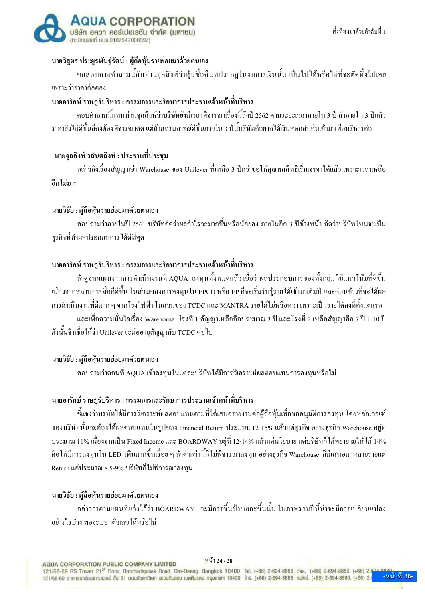

#### นายวิสูตร ประยูรพันธุ์รัตน์ : ผู้ถือหุ้นรายย่อยมาด้วยตนเอง

ขอสอบถามคำถามนี้กับท่านจุลสิงห์ว่าหุ้นซื้อคืนที่ปรากฎในงบการเงินนั้น เป็นไปได้หรือไม่ที่จะตัดทิ้งไปเลย เพราะว่าราคาก็ลดลง

#### ้นายอารักษ์ ราษฎร์บริหาร : กรรมการและรักษาการประธานเจ้าหน้าที่บริหาร

้ตอบคำถามนี้แทนท่านจลสิงห์ว่าบริษัทยังมีเวลาพิจารณาเรื่องนี้ถึงปี 2562 ตามระยะเวลาภายใน 3 ปี ถ้าภายใน 3 ปีแล้ว ้ ราคายังไม่ดีขึ้นก็คงต้องพิจารณาตัด แต่ถ้าสถานการณ์ดีขึ้นภายใน 3 ปีนี้บริษัทก็อยากได้เงินสดกลับกืนเข้ามาเพื่อบริหารต่อ

#### นายจุลสิงห์ วสันตสิงห์ : ประธานที่ประชุม

ี กล่าวถึงเรื่องสัญญาเช่า Warehouse ของ Unilever ที่เหลือ 3 ปีกว่าขอให้คณพลสิทธิเริ่มเจรจาได้แล้ว เพราะเวลาเหลือ ลึกไม่มาก

#### นายวิชัย : ผู้ถือหุ้นรายย่อยมาด้วยตนเอง

สอบถามว่าภายในปี 2561 บริษัทคิดว่าผลกำไรจะมากขึ้นหรือน้อยลง ภายในอีก 3 ปีข้างหน้า คิดว่าบริษัทไหบจะเป็น ธุรกิจที่ทำผลประกอบการ<sup>ๆ</sup>ศัดิที่สุด

## ้นายอารักษ์ ราษฎร์บริหาร : กรรมการและรักษาการประธานเจ้าหน้าที่บริหาร

้ถ้าดูจากแผนงานการคำเนินงานที่ AQUA ลงทุนทั้งหมดแล้ว เชื่อว่าผลประกอบการของทั้งกลุ่มก็มีแนวโน้มที่ดีขึ้น เนื่องจากสถานการสื่อก็ดีขึ้น ในส่วนของการลงทุนใน EPCO หรือ EP ก็จะเริ่มรับรู้รายได้เข้ามาเต็มปี และค่อนข้างที่จะได้ผล ิการดำเนินงานที่ดีมาก ๆ จากโรงไฟฟ้า ในส่วนของ TCDC และ MANTRA รายได้ไม่หวือหวา เพราะเป็นรายได้คงที่ตั้งแต่แรก และเพื่อความมั่นใจเรื่อง Warehouse โรงที่ 1 สัญญาเหลืออีกประมาณ 3 ปี และโรงที่ 2 เหลือสัญญาอีก 7 ปี + 10 ปี ดังนั้นจึงเชื่อได้ว่า Unilever จะต่ออายสัญญากับ TCDC ต่อไป

#### นายวิชัย : ผู้ถือหุ้นรายย่อยมาด้วยตนเอง

ิ สอบถามว่าตอนที่ AOUA เข้าลงทนในแต่ละบริษัทได้มีการวิเคราะห์ผลตอบแทนการลงทนหรือไม่

## ้นายอารักษ์ ราษฎร์บริหาร : กรรมการและรักษาการประธานเจ้าหน้าที่บริหาร

์ ขี้แจงว่าบริษัทได้มีการวิเคราะห์ผลตอบแทนตามที่ได้เสนอรายงานต่อผู้ถือหุ้นเพื่อขออนุมัติการลงทุน โดยหลักเกณฑ์ ี ของบริษัทนั้นจะต้องได้ผลตอบแทนในรูปของ Financial Return ประมาณ 12-15% แล้วแต่ธุรกิจ อย่างธุรกิจ Warehouse อยู่ที่ ประมาณ 11% เนื่องจากเป็น Fixed Income และ BOARDWAY อยู่ที่ 12-14% แล้วแต่น โยบาย แต่บริษัทก็ได้พยายามให้ได้ 14% ี คือให้มีการลงทุนใน LED เพิ่มมากขึ้นเรื่อย ๆ ถ้าต่ำกว่านี้ก็ไม่พิจารณาลงทุน อย่างธุรกิจ Warehouse ก็มีเสนอมาหลายรายแต่ Return แค่ประมาณ 8.5-9% บริษัทก็ไม่พิจารณาลงทน

#### นายวิชัย : ผู้ถือหุ้นรายย่อยมาด้วยตนเอง

ึกล่าวว่าตามแผนที่แจ้งไว้ว่า BOARDWAY จะมีการขึ้นป้ายเยอะขึ้นนั้น ในภาพรวมปีนี้น่าจะมีการเปลี่ยนแปลง ้อย่างไรบ้าง พอจะบอกตัวเลขได้หรือไม่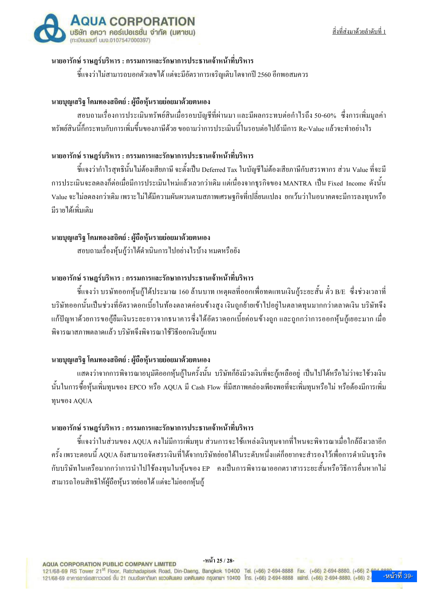

## ินายอารักษ์ ราษฎร์บริหาร : กรรมการและรักษาการประธานเจ้าหน้าที่บริหาร

์ ซี้แจงว่าไม่สามารถบอกตัวเลขได้ แต่จะมีอัตราการเจริญเติบโตจากปี 2560 อีกพอสมควร

#### นายบุญเสริฐ โคมทองสถิตย์ : ผู้ถือหุ้นรายย่อยมาด้วยตนเอง

ี่ สอบถามเรื่องการประเมินทรัพย์สินเมื่อรอบบัญชีที่ผ่านมา และมีผลกระทบต่อกำไรถึง 50-60% ซึ่งการเพิ่มมลค่า ทรัพย์สินนี้ก็กระทบกับการเพิ่มขึ้นของภาษีด้วย ขอถามว่าการประเมินนี้ในรอบต่อไปถ้ามีการ Re-Value แล้วจะทำอย่างไร

## ินายอารักษ์ ราษฎร์บริหาร : กรรมการและรักษาการประธานเจ้าหน้าที่บริหาร

์ ขี้แจงว่ากำไรสทธินั้นไม่ต้องเสียภาษี จะตั้งเป็น Deferred Tax ในบัญชีไม่ต้องเสียภาษีกับสรรพากร ส่วน Value ที่จะมี ิ การประเมินจะลดลงก็ต่อเมื่อมีการประเมินใหม่แล้วเลวกว่าเดิม แต่เนื่องจากธุรกิจของ MANTRA เป็น Fixed Income ดังนั้น Value จะไม่ลดลงกว่าเดิม เพราะไม่ได้มีความผันผวนตามสภาพเศรษฐกิจที่เปลี่ยนแปลง ยกเว้นว่าในอนาคตจะมีการลงทนหรือ มีรายได้เพิ่มเติม

#### นายบุญเสริฐ โคมทองสถิตย์ : ผู้ถือหุ้นรายย่อยมาด้วยตนเอง

ิสอบถามเรื่องหุ้นกู้ว่าใด้ดำเนินการใปอย่างใรบ้าง หมดหรือยัง

## ้นายอารักษ์ ราษฎร์บริหาร : กรรมการและรักษาการประธานเจ้าหน้าที่บริหาร

์ ขี้แจงว่า บรษัทออกหุ้นกู้ได้ประมาณ 160 ล้านบาท เหตุผลที่ออกเพื่อทดแทนเงินกู้ระยะสั้น ตั๋ว B/E ซึ่งช่วงเวลาที่ ้ บริษัทออกนั้นเป็นช่วงที่อัตราคอกเบี้ยในท้องตลาดก่อนข้างสูง เงินถูกย้ายเข้าไปอยู่ในตลาดทุนมากกว่าตลาดเงิน บริษัทจึง แก้ปัญหาด้วยการขอกู้ยืมเงินระยะยาวจากธนาคารซึ่งใด้อัตราดอกเบี้ยค่อนข้างถูก และถูกกว่าการออกหุ้นกู้เยอะมาก เมื่อ พิจารณาสภาพตลาดแล้ว บริษัทจึงพิจารณาใช้วิธีออกเงินก้แทน

## นายบุญเสริฐ โคมทองสถิตย์ : ผู้ถือหุ้นรายย่อยมาด้วยตนเอง

แสดงว่าจากการพิจารณาอนมัติออกห้นก้ในครั้งนั้น บริษัทก็ยังมีวงเงินที่จะก้เหลืออย่ เป็นไปได้หรือไม่ว่าจะใช้วงเงิน นั้นในการซื้อห้นเพิ่มทนของ EPCO หรือ AOUA มี Cash Flow ที่มีสภาพคล่องเพียงพอที่จะเพิ่มทนหรือไม่ หรือต้องมีการเพิ่ม ทุนของ AQUA

## ้นายอารักษ์ ราษฎร์บริหาร : กรรมการและรักษาการประธานเจ้าหน้าที่บริหาร

์ ขี้แจงว่าในส่วนของ AQUA คงไม่มีการเพิ่มทุน ส่วนการจะใช้แหล่งเงินทุนจากที่ไหนจะพิจารณาเมื่อใกล้ถึงเวลาอีก ิ ครั้ง เพราะตอนนี้ AQUA ยังสามารถจัดสรรเงินที่ได้จากบริษัทย่อยได้ในระดับหนึ่งแต่ก็อยากจะสำรองไว้เพื่อการดำเนินธุรกิจ ี กับบริษัทในเครือมากกว่าการนำไปใช้ลงทนในห้นของ EP คงเป็นการพิจารณาออกตราสารระยะสั้นหรือวิธีการอื่นหากไม่ สามารถโอนสิทธิให้ผู้ถือห้นรายย่อยได้ แต่จะไม่ออกห้นก้

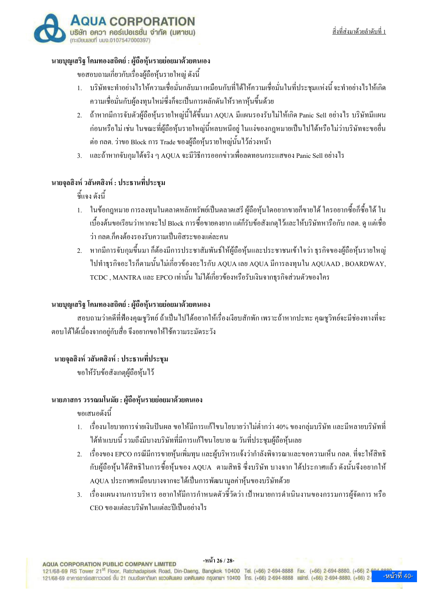

#### นายบุญเสริฐ โคมทองสถิตย์ : ผู้ถือหุ้นรายย่อยมาด้วยตนเอง

ขอสอบถามเกี่ยวกับเรื่องผู้ถือหุ้นรายใหญ่ ดังนี้

- ้ บริษัทจะทำอย่างไรให้ความเชื่อมั่นกลับมา เหมือนกับที่ได้ให้ความเชื่อมั่นในที่ประชมแห่งนี้ จะทำอย่างไรให้เกิด  $1.$ ้ความเชื่อมั่นกับผู้ลงทุนใหม่ซึ่งก็จะเป็นการผลักดันให้ราคาหุ้นขึ้นด้วย
- 2. ถ้าหากมีการจับตัวผู้ถือหุ้นรายใหญ่นี้ได้ขึ้นมา AQUA มีแผนรองรับไม่ให้เกิด Panic Sell อย่างไร บริษัทมีแผน ้ก่อนหรือไม่ เช่น ในขณะที่ผู้ถือหุ้นรายใหญ่นี้หลบหนีอยู่ ในแง่ของกฎหมายเป็นไปได้หรือไม่ว่าบริษัทจะขอขื่น ี่ต่อ กลต. ว่าขอ Block การ Trade ของผู้ถือหันรายใหญ่นั้นไว้ล่วงหน้า
- 3. และถ้าหากจับกมได้จริง ๆ AOUA จะมีวิธีการออกข่าวเพื่อลดทอนกระแสของ Panic Sell อย่างไร

## นายจุลสิงห์ วสันตสิงห์ : ประธานที่ประชุม

ชี้แจง ดังนี้

- ่ 1. ในข้อกฎหมาย การลงทนในตลาดหลักทรัพย์เป็นตลาดเสรี ผู้ถือห้นใดอยากขายก็ขายได้ ใกรอยากซื้อก็ซื้อได้ ใน ู้เบื้องต้นขอเรียนว่าหากจะไป Block การซื้อขายคงยาก แต่ก็รับข้อสังเกตไว้และให้บริษัทหารือกับ กลต. ด แต่เชื่อ ว่า กลต ก็คงต้องรองรับความเป็นอิสระของแต่ละคน
- 2. หากมีการจับกุมขึ้นมา ก็ต้องมีการประชาสัมพันธ์ให้ผู้ถือหุ้นและประชาชนเข้าใจว่า ธุรกิจของผู้ถือหุ้นรายใหญ่ ไปทำธุรกิจอะไรก็ตามนั้นไม่เกี่ยวข้องอะไรกับ AQUA เลย AQUA มีการลงทุนใน AQUAAD , BOARDWAY, TCDC , MANTRA และ EPCO เท่านั้น ไม่ได้เกี่ยวข้องหรือรับเงินจากธุรกิจส่วนตัวของใคร

## นายบุญเสริฐ โคมทองสถิตย์ : ผู้ถือหุ้นรายย่อยมาด้วยตนเอง

สอบถามว่าคดีที่ฟ้องคณชวิทย์ ถ้าเป็นไปได้อยากให้เรื่องเงียบสักพัก เพราะถ้าหากปะทะ คณชวิทย์จะมีช่องทางที่จะ ้ตอบโต้ได้เนื่องจากอยู่กับสื่อ จึงอยากขอให้ใช้ความระมัดระวัง

## นายจุลสิงห์ วสันตสิงห์ : ประธานที่ประชุม

ขอให้รับข้อสังเกตผ้ถือห้นไว้

## นายภาสกร วรรณมโนมัย : ผู้ถือหุ้นรายย่อยมาด้วยตนเอง

<u>ขอเสนอดังนี้</u>

- 1. เรื่องนโยบายการจ่ายเงินปันผล ขอให้มีการแก้ไขนโยบายว่าไม่ต่ำกว่า 40% ของกล่มบริษัท และมีหลายบริษัทที่ ได้ทำแบบนี้ รวมถึงมีบางบริษัทที่มีการแก้ไขนโยบาย ณ วันที่ประชุมผู้ถือหุ้นเลย
- 2. เรื่องของ EPCO กรณีมีการขายหุ้นเพิ่มทุน และผู้บริหารแจ้งว่ากำลังพิจารณาและขอความเห็น กลต. ที่จะให้สิทธิ ้กับผู้ถือห้นได้สิทธิในการซื้อห้นของ AOUA ตามสิทธิ ซึ่งบริษัท บางจาก ได้ประกาศแล้ว ดังนั้นจึงอยากให้ AOUA ประกาศเหมือนบางจากจะใด้เป็นการพัฒนามลค่าห้นของบริษัทด้วย
- ่ 3. เรื่องแผนงานการบริหาร อยากให้มีการกำหนดตัวชี้วัดว่า เป้าหมายการคำเนินงานของกรรมการผู้จัดการ หรือ CEO ของแต่ละบริษัทในแต่ละปีเป็นอย่างไร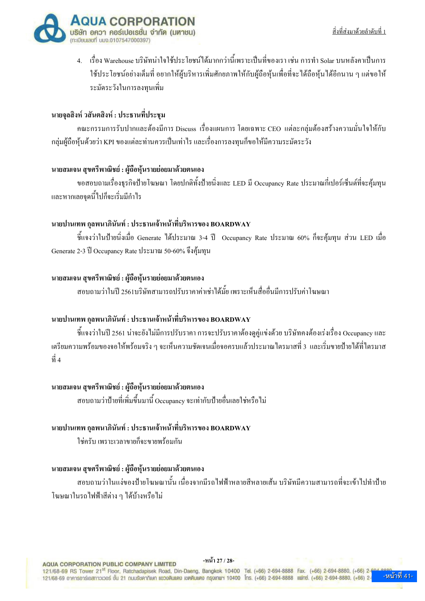

4. เรื่อง Warehouse บริษัทน่าใจใช้ประโยชน์ได้มากกว่านี้เพราะเป็นที่ของเรา เช่น การทำ Solar บนหลังคาเป็นการ ใช้ประโยชน์อย่างเต็มที่ อยากให้ผู้บริหารเพิ่มศักยภาพให้กับผู้ถือหุ้นเพื่อที่จะได้ถือหุ้นได้อีกนาน ๆ แต่ขอให้ ระมัดระวังในการลงทุนเพิ่ม

#### นายจุลสิงห์ วสันตสิงห์ : ประธานที่ประชุม

ึ คณะกรรมการรับปากและต้องมีการ Discuss เรื่องแผนการ โดยเฉพาะ CEO แต่ละกล่มต้องสร้างความมั่นใจให้กับ กล่มผู้ถือห้นด้วยว่า KPI ของแต่ละท่านควรเป็นเท่าไร และเรื่องการลงทนก็ขอให้มีความระมัดระวัง

#### ้นายสมเจน สุขศรีพาณิชย์ : ผู้ถือหุ้นรายย่อยมาด้วยตนเอง

ขอสอบถามเรื่องธุรกิจป้ายโฆษณา โดยปกติทั้งป้ายนิ่งและ LED มี Occupancy Rate ประมาณกี่เปอร์เซ็นต์ที่จะคุ้มทุน และหากเลยจดนี้ไปก็จะเริ่มมีกำไร

## นายปานเทพ กลพนาภินันท์ : ประธานเจ้าหน้าที่บริหารของ BOARDWAY

ซี่แจงว่าในป้ายนิ่งเมื่อ Generate ได้ประมาณ 3-4 ปี Occupancy Rate ประมาณ 60% ก็จะคุ้มทุน ส่วน LED เมื่อ Generate 2-3 ปี Occupancy Rate ประมาณ 50-60% จึงคุ้มทุน

#### นายสมเจน สุขศรีพาณิชย์ : ผู้ถือหุ้นรายย่อยมาด้วยตนเอง

สอบถามว่าในปี 2561บริษัทสามารถปรับราคาค่าเช่าใด้มั้ย เพราะเห็นสื่ออื่นมีการปรับค่าโฆษณา

#### นายปานเทพ กุลพนาภินันท์ : ประธานเจ้าหน้าที่บริหารของ BOARDWAY

์ ขี้แจงว่าในปี 2561 น่าจะยังไม่มีการปรับราคา การจะปรับราคาต้องดูคู่แข่งด้วย บริษัทคงต้องเร่งเรื่อง Occupancy และ ้ เตรียมความพร้อมของจอให้พร้อมจริง ๆ จะเห็นความชัดเจนเมื่อจอครบแล้วประมาณใตรมาสที่ 3 และเริ่มขายป้ายได้ที่ไตรมาส  $\vec{m} A$ 

#### นายสมเจน สขศรีพาณิชย์ : ผ้ถือห้นรายย่อยมาด้วยตนเอง

ิสอบถามว่าป้ายที่เพิ่มขึ้นมานี้ Occupancy จะเท่ากับป้ายอื่นเลยใช่หรือไม่

## นายปานเทพ กุลพนาภินันท์ : ประธานเจ้าหน้าที่บริหารของ BOARDWAY

ใช่ครับ เพราะเวลาขายก็จะขายพร้อมกับ

## นายสมเจน สุขศรีพาณิชย์ : ผู้ถือหุ้นรายย่อยมาด้วยตนเอง

ี่ สอบถามว่าในแง่ของป้ายโฆษณานั้น เนื่องจากมีรถไฟฟ้าหลายสีหลายเส้น บริษัทมีความสามารถที่จะเข้าไปทำป้าย โฆษณาในรถไฟฟ้าสีต่าง ๆ ได้บ้างหรือไม่